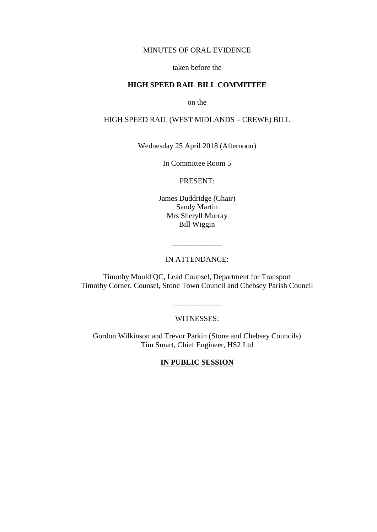#### MINUTES OF ORAL EVIDENCE

### taken before the

# **HIGH SPEED RAIL BILL COMMITTEE**

on the

# HIGH SPEED RAIL (WEST MIDLANDS – CREWE) BILL

Wednesday 25 April 2018 (Afternoon)

In Committee Room 5

PRESENT:

James Duddridge (Chair) Sandy Martin Mrs Sheryll Murray Bill Wiggin

# IN ATTENDANCE:

\_\_\_\_\_\_\_\_\_\_\_\_\_

Timothy Mould QC, Lead Counsel, Department for Transport Timothy Corner, Counsel, Stone Town Council and Chebsey Parish Council

WITNESSES:

\_\_\_\_\_\_\_\_\_\_\_\_\_

Gordon Wilkinson and Trevor Parkin (Stone and Chebsey Councils) Tim Smart, Chief Engineer, HS2 Ltd

**IN PUBLIC SESSION**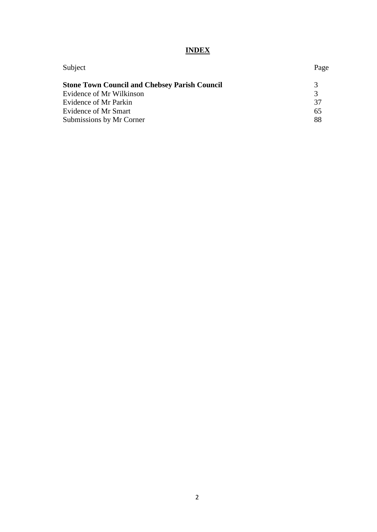# **INDEX**

| Subject                                              | Page |
|------------------------------------------------------|------|
| <b>Stone Town Council and Chebsey Parish Council</b> | 3    |
| Evidence of Mr Wilkinson                             |      |
| Evidence of Mr Parkin                                | 37   |
| Evidence of Mr Smart                                 | 65   |
| Submissions by Mr Corner                             | 88   |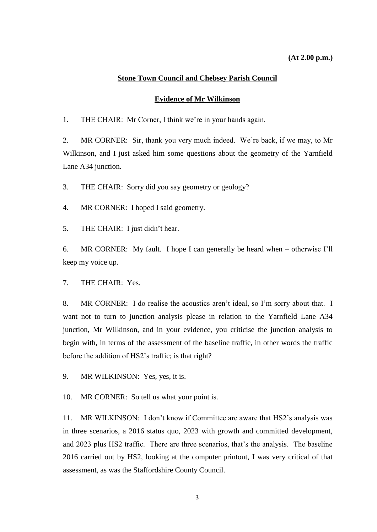#### **Stone Town Council and Chebsey Parish Council**

#### **Evidence of Mr Wilkinson**

<span id="page-2-1"></span><span id="page-2-0"></span>1. THE CHAIR: Mr Corner, I think we're in your hands again.

2. MR CORNER: Sir, thank you very much indeed. We're back, if we may, to Mr Wilkinson, and I just asked him some questions about the geometry of the Yarnfield Lane A34 junction.

3. THE CHAIR: Sorry did you say geometry or geology?

4. MR CORNER: I hoped I said geometry.

5. THE CHAIR: I just didn't hear.

6. MR CORNER: My fault. I hope I can generally be heard when – otherwise I'll keep my voice up.

7. THE CHAIR: Yes.

8. MR CORNER: I do realise the acoustics aren't ideal, so I'm sorry about that. I want not to turn to junction analysis please in relation to the Yarnfield Lane A34 junction, Mr Wilkinson, and in your evidence, you criticise the junction analysis to begin with, in terms of the assessment of the baseline traffic, in other words the traffic before the addition of HS2's traffic; is that right?

9. MR WILKINSON: Yes, yes, it is.

10. MR CORNER: So tell us what your point is.

11. MR WILKINSON: I don't know if Committee are aware that HS2's analysis was in three scenarios, a 2016 status quo, 2023 with growth and committed development, and 2023 plus HS2 traffic. There are three scenarios, that's the analysis. The baseline 2016 carried out by HS2, looking at the computer printout, I was very critical of that assessment, as was the Staffordshire County Council.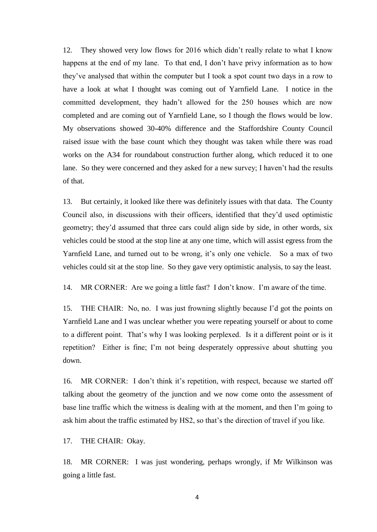12. They showed very low flows for 2016 which didn't really relate to what I know happens at the end of my lane. To that end, I don't have privy information as to how they've analysed that within the computer but I took a spot count two days in a row to have a look at what I thought was coming out of Yarnfield Lane. I notice in the committed development, they hadn't allowed for the 250 houses which are now completed and are coming out of Yarnfield Lane, so I though the flows would be low. My observations showed 30-40% difference and the Staffordshire County Council raised issue with the base count which they thought was taken while there was road works on the A34 for roundabout construction further along, which reduced it to one lane. So they were concerned and they asked for a new survey; I haven't had the results of that.

13. But certainly, it looked like there was definitely issues with that data. The County Council also, in discussions with their officers, identified that they'd used optimistic geometry; they'd assumed that three cars could align side by side, in other words, six vehicles could be stood at the stop line at any one time, which will assist egress from the Yarnfield Lane, and turned out to be wrong, it's only one vehicle. So a max of two vehicles could sit at the stop line. So they gave very optimistic analysis, to say the least.

14. MR CORNER: Are we going a little fast? I don't know. I'm aware of the time.

15. THE CHAIR: No, no. I was just frowning slightly because I'd got the points on Yarnfield Lane and I was unclear whether you were repeating yourself or about to come to a different point. That's why I was looking perplexed. Is it a different point or is it repetition? Either is fine; I'm not being desperately oppressive about shutting you down.

16. MR CORNER: I don't think it's repetition, with respect, because we started off talking about the geometry of the junction and we now come onto the assessment of base line traffic which the witness is dealing with at the moment, and then I'm going to ask him about the traffic estimated by HS2, so that's the direction of travel if you like.

17. THE CHAIR: Okay.

18. MR CORNER: I was just wondering, perhaps wrongly, if Mr Wilkinson was going a little fast.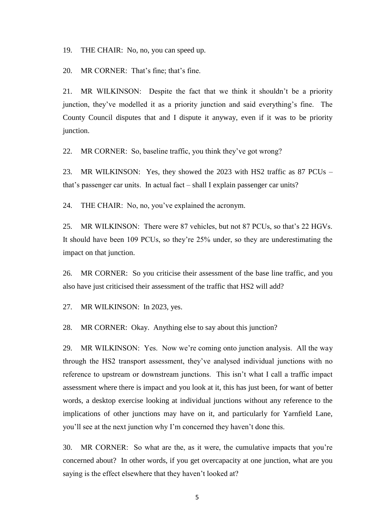19. THE CHAIR: No, no, you can speed up.

20. MR CORNER: That's fine; that's fine.

21. MR WILKINSON: Despite the fact that we think it shouldn't be a priority junction, they've modelled it as a priority junction and said everything's fine. The County Council disputes that and I dispute it anyway, even if it was to be priority junction.

22. MR CORNER: So, baseline traffic, you think they've got wrong?

23. MR WILKINSON: Yes, they showed the 2023 with HS2 traffic as 87 PCUs – that's passenger car units. In actual fact – shall I explain passenger car units?

24. THE CHAIR: No, no, you've explained the acronym.

25. MR WILKINSON: There were 87 vehicles, but not 87 PCUs, so that's 22 HGVs. It should have been 109 PCUs, so they're 25% under, so they are underestimating the impact on that junction.

26. MR CORNER: So you criticise their assessment of the base line traffic, and you also have just criticised their assessment of the traffic that HS2 will add?

27. MR WILKINSON: In 2023, yes.

28. MR CORNER: Okay. Anything else to say about this junction?

29. MR WILKINSON: Yes. Now we're coming onto junction analysis. All the way through the HS2 transport assessment, they've analysed individual junctions with no reference to upstream or downstream junctions. This isn't what I call a traffic impact assessment where there is impact and you look at it, this has just been, for want of better words, a desktop exercise looking at individual junctions without any reference to the implications of other junctions may have on it, and particularly for Yarnfield Lane, you'll see at the next junction why I'm concerned they haven't done this.

30. MR CORNER: So what are the, as it were, the cumulative impacts that you're concerned about? In other words, if you get overcapacity at one junction, what are you saying is the effect elsewhere that they haven't looked at?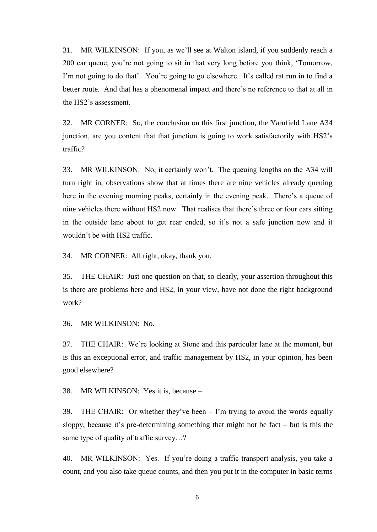31. MR WILKINSON: If you, as we'll see at Walton island, if you suddenly reach a 200 car queue, you're not going to sit in that very long before you think, 'Tomorrow, I'm not going to do that'. You're going to go elsewhere. It's called rat run in to find a better route. And that has a phenomenal impact and there's no reference to that at all in the HS2's assessment.

32. MR CORNER: So, the conclusion on this first junction, the Yarnfield Lane A34 junction, are you content that that junction is going to work satisfactorily with HS2's traffic?

33. MR WILKINSON: No, it certainly won't. The queuing lengths on the A34 will turn right in, observations show that at times there are nine vehicles already queuing here in the evening morning peaks, certainly in the evening peak. There's a queue of nine vehicles there without HS2 now. That realises that there's three or four cars sitting in the outside lane about to get rear ended, so it's not a safe junction now and it wouldn't be with HS2 traffic.

34. MR CORNER: All right, okay, thank you.

35. THE CHAIR: Just one question on that, so clearly, your assertion throughout this is there are problems here and HS2, in your view, have not done the right background work?

36. MR WILKINSON: No.

37. THE CHAIR: We're looking at Stone and this particular lane at the moment, but is this an exceptional error, and traffic management by HS2, in your opinion, has been good elsewhere?

38. MR WILKINSON: Yes it is, because –

39. THE CHAIR: Or whether they've been – I'm trying to avoid the words equally sloppy, because it's pre-determining something that might not be fact – but is this the same type of quality of traffic survey…?

40. MR WILKINSON: Yes. If you're doing a traffic transport analysis, you take a count, and you also take queue counts, and then you put it in the computer in basic terms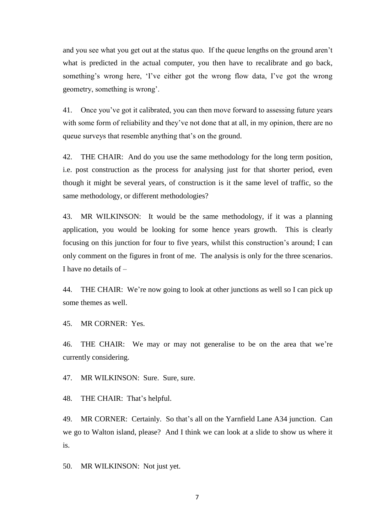and you see what you get out at the status quo. If the queue lengths on the ground aren't what is predicted in the actual computer, you then have to recalibrate and go back, something's wrong here, 'I've either got the wrong flow data, I've got the wrong geometry, something is wrong'.

41. Once you've got it calibrated, you can then move forward to assessing future years with some form of reliability and they've not done that at all, in my opinion, there are no queue surveys that resemble anything that's on the ground.

42. THE CHAIR: And do you use the same methodology for the long term position, i.e. post construction as the process for analysing just for that shorter period, even though it might be several years, of construction is it the same level of traffic, so the same methodology, or different methodologies?

43. MR WILKINSON: It would be the same methodology, if it was a planning application, you would be looking for some hence years growth. This is clearly focusing on this junction for four to five years, whilst this construction's around; I can only comment on the figures in front of me. The analysis is only for the three scenarios. I have no details of –

44. THE CHAIR: We're now going to look at other junctions as well so I can pick up some themes as well.

45. MR CORNER: Yes.

46. THE CHAIR: We may or may not generalise to be on the area that we're currently considering.

47. MR WILKINSON: Sure. Sure, sure.

48. THE CHAIR: That's helpful.

49. MR CORNER: Certainly. So that's all on the Yarnfield Lane A34 junction. Can we go to Walton island, please? And I think we can look at a slide to show us where it is.

50. MR WILKINSON: Not just yet.

7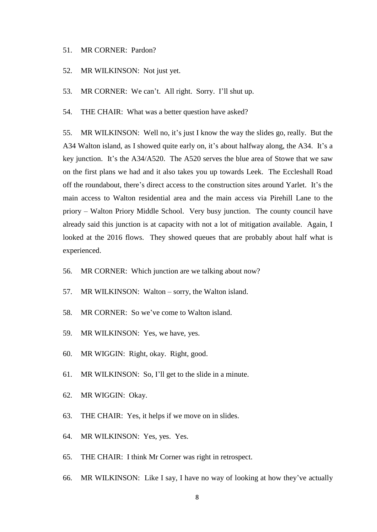#### 51. MR CORNER: Pardon?

- 52. MR WILKINSON: Not just yet.
- 53. MR CORNER: We can't. All right. Sorry. I'll shut up.

54. THE CHAIR: What was a better question have asked?

55. MR WILKINSON: Well no, it's just I know the way the slides go, really. But the A34 Walton island, as I showed quite early on, it's about halfway along, the A34. It's a key junction. It's the A34/A520. The A520 serves the blue area of Stowe that we saw on the first plans we had and it also takes you up towards Leek. The Eccleshall Road off the roundabout, there's direct access to the construction sites around Yarlet. It's the main access to Walton residential area and the main access via Pirehill Lane to the priory – Walton Priory Middle School. Very busy junction. The county council have already said this junction is at capacity with not a lot of mitigation available. Again, I looked at the 2016 flows. They showed queues that are probably about half what is experienced.

- 56. MR CORNER: Which junction are we talking about now?
- 57. MR WILKINSON: Walton sorry, the Walton island.
- 58. MR CORNER: So we've come to Walton island.
- 59. MR WILKINSON: Yes, we have, yes.
- 60. MR WIGGIN: Right, okay. Right, good.
- 61. MR WILKINSON: So, I'll get to the slide in a minute.
- 62. MR WIGGIN: Okay.
- 63. THE CHAIR: Yes, it helps if we move on in slides.
- 64. MR WILKINSON: Yes, yes. Yes.
- 65. THE CHAIR: I think Mr Corner was right in retrospect.
- 66. MR WILKINSON: Like I say, I have no way of looking at how they've actually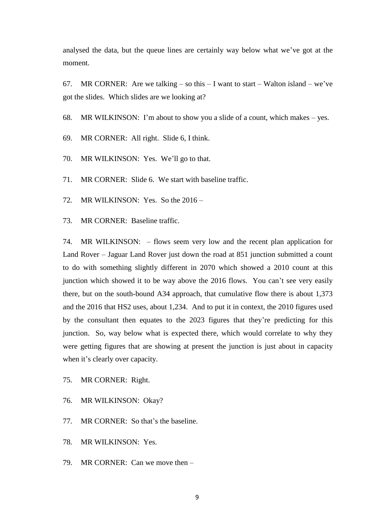analysed the data, but the queue lines are certainly way below what we've got at the moment.

67. MR CORNER: Are we talking – so this  $- I$  want to start – Walton island – we've got the slides. Which slides are we looking at?

68. MR WILKINSON: I'm about to show you a slide of a count, which makes – yes.

69. MR CORNER: All right. Slide 6, I think.

70. MR WILKINSON: Yes. We'll go to that.

71. MR CORNER: Slide 6. We start with baseline traffic.

72. MR WILKINSON: Yes. So the 2016 –

73. MR CORNER: Baseline traffic.

74. MR WILKINSON: – flows seem very low and the recent plan application for Land Rover – Jaguar Land Rover just down the road at 851 junction submitted a count to do with something slightly different in 2070 which showed a 2010 count at this junction which showed it to be way above the 2016 flows. You can't see very easily there, but on the south-bound A34 approach, that cumulative flow there is about 1,373 and the 2016 that HS2 uses, about 1,234. And to put it in context, the 2010 figures used by the consultant then equates to the 2023 figures that they're predicting for this junction. So, way below what is expected there, which would correlate to why they were getting figures that are showing at present the junction is just about in capacity when it's clearly over capacity.

- 75. MR CORNER: Right.
- 76. MR WILKINSON: Okay?
- 77. MR CORNER: So that's the baseline.
- 78. MR WILKINSON: Yes.
- 79. MR CORNER: Can we move then –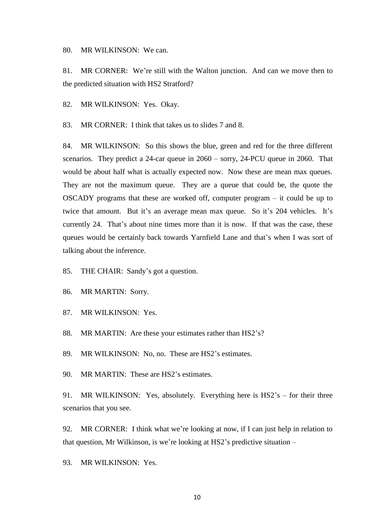80. MR WILKINSON: We can.

81. MR CORNER: We're still with the Walton junction. And can we move then to the predicted situation with HS2 Stratford?

82. MR WILKINSON: Yes. Okay.

83. MR CORNER: I think that takes us to slides 7 and 8.

84. MR WILKINSON: So this shows the blue, green and red for the three different scenarios. They predict a 24-car queue in 2060 – sorry, 24-PCU queue in 2060. That would be about half what is actually expected now. Now these are mean max queues. They are not the maximum queue. They are a queue that could be, the quote the OSCADY programs that these are worked off, computer program – it could be up to twice that amount. But it's an average mean max queue. So it's 204 vehicles. It's currently 24. That's about nine times more than it is now. If that was the case, these queues would be certainly back towards Yarnfield Lane and that's when I was sort of talking about the inference.

85. THE CHAIR: Sandy's got a question.

86. MR MARTIN: Sorry.

87. MR WILKINSON: Yes.

88. MR MARTIN: Are these your estimates rather than HS2's?

89. MR WILKINSON: No, no. These are HS2's estimates.

90. MR MARTIN: These are HS2's estimates.

91. MR WILKINSON: Yes, absolutely. Everything here is HS2's – for their three scenarios that you see.

92. MR CORNER: I think what we're looking at now, if I can just help in relation to that question, Mr Wilkinson, is we're looking at HS2's predictive situation –

93. MR WILKINSON: Yes.

10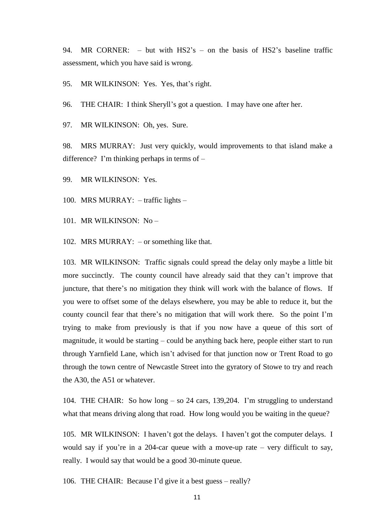94. MR CORNER: – but with HS2's – on the basis of HS2's baseline traffic assessment, which you have said is wrong.

95. MR WILKINSON: Yes. Yes, that's right.

96. THE CHAIR: I think Sheryll's got a question. I may have one after her.

97. MR WILKINSON: Oh, yes. Sure.

98. MRS MURRAY: Just very quickly, would improvements to that island make a difference? I'm thinking perhaps in terms of –

99. MR WILKINSON: Yes.

100. MRS MURRAY: – traffic lights –

101. MR WILKINSON: No –

102. MRS MURRAY: – or something like that.

103. MR WILKINSON: Traffic signals could spread the delay only maybe a little bit more succinctly. The county council have already said that they can't improve that juncture, that there's no mitigation they think will work with the balance of flows. If you were to offset some of the delays elsewhere, you may be able to reduce it, but the county council fear that there's no mitigation that will work there. So the point I'm trying to make from previously is that if you now have a queue of this sort of magnitude, it would be starting – could be anything back here, people either start to run through Yarnfield Lane, which isn't advised for that junction now or Trent Road to go through the town centre of Newcastle Street into the gyratory of Stowe to try and reach the A30, the A51 or whatever.

104. THE CHAIR: So how long – so 24 cars, 139,204. I'm struggling to understand what that means driving along that road. How long would you be waiting in the queue?

105. MR WILKINSON: I haven't got the delays. I haven't got the computer delays. I would say if you're in a 204-car queue with a move-up rate  $-$  very difficult to say, really. I would say that would be a good 30-minute queue.

106. THE CHAIR: Because I'd give it a best guess – really?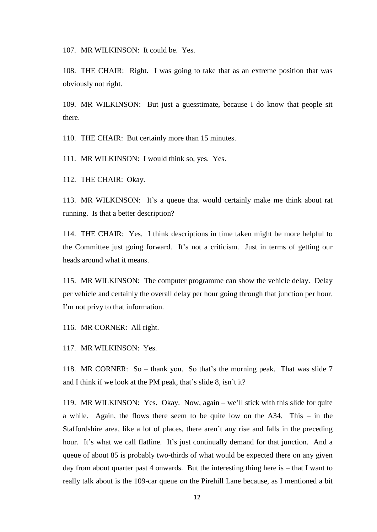107. MR WILKINSON: It could be. Yes.

108. THE CHAIR: Right. I was going to take that as an extreme position that was obviously not right.

109. MR WILKINSON: But just a guesstimate, because I do know that people sit there.

110. THE CHAIR: But certainly more than 15 minutes.

111. MR WILKINSON: I would think so, yes. Yes.

112. THE CHAIR: Okay.

113. MR WILKINSON: It's a queue that would certainly make me think about rat running. Is that a better description?

114. THE CHAIR: Yes. I think descriptions in time taken might be more helpful to the Committee just going forward. It's not a criticism. Just in terms of getting our heads around what it means.

115. MR WILKINSON: The computer programme can show the vehicle delay. Delay per vehicle and certainly the overall delay per hour going through that junction per hour. I'm not privy to that information.

116. MR CORNER: All right.

117. MR WILKINSON: Yes.

118. MR CORNER: So – thank you. So that's the morning peak. That was slide 7 and I think if we look at the PM peak, that's slide 8, isn't it?

119. MR WILKINSON: Yes. Okay. Now, again – we'll stick with this slide for quite a while. Again, the flows there seem to be quite low on the A34. This – in the Staffordshire area, like a lot of places, there aren't any rise and falls in the preceding hour. It's what we call flatline. It's just continually demand for that junction. And a queue of about 85 is probably two-thirds of what would be expected there on any given day from about quarter past 4 onwards. But the interesting thing here is – that I want to really talk about is the 109-car queue on the Pirehill Lane because, as I mentioned a bit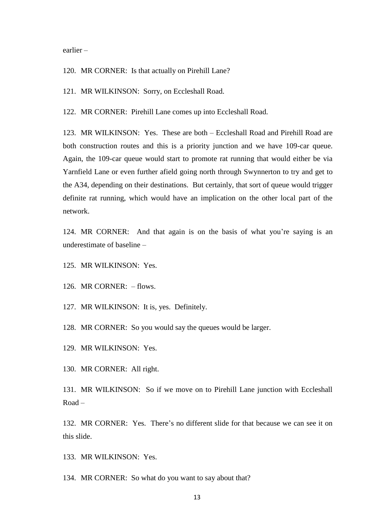earlier –

120. MR CORNER: Is that actually on Pirehill Lane?

121. MR WILKINSON: Sorry, on Eccleshall Road.

122. MR CORNER: Pirehill Lane comes up into Eccleshall Road.

123. MR WILKINSON: Yes. These are both – Eccleshall Road and Pirehill Road are both construction routes and this is a priority junction and we have 109-car queue. Again, the 109-car queue would start to promote rat running that would either be via Yarnfield Lane or even further afield going north through Swynnerton to try and get to the A34, depending on their destinations. But certainly, that sort of queue would trigger definite rat running, which would have an implication on the other local part of the network.

124. MR CORNER: And that again is on the basis of what you're saying is an underestimate of baseline –

125. MR WILKINSON: Yes.

126. MR CORNER: – flows.

127. MR WILKINSON: It is, yes. Definitely.

128. MR CORNER: So you would say the queues would be larger.

129. MR WILKINSON: Yes.

130. MR CORNER: All right.

131. MR WILKINSON: So if we move on to Pirehill Lane junction with Eccleshall Road –

132. MR CORNER: Yes. There's no different slide for that because we can see it on this slide.

133. MR WILKINSON: Yes.

134. MR CORNER: So what do you want to say about that?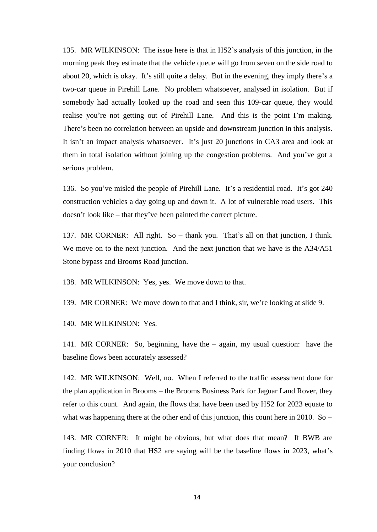135. MR WILKINSON: The issue here is that in HS2's analysis of this junction, in the morning peak they estimate that the vehicle queue will go from seven on the side road to about 20, which is okay. It's still quite a delay. But in the evening, they imply there's a two-car queue in Pirehill Lane. No problem whatsoever, analysed in isolation. But if somebody had actually looked up the road and seen this 109-car queue, they would realise you're not getting out of Pirehill Lane. And this is the point I'm making. There's been no correlation between an upside and downstream junction in this analysis. It isn't an impact analysis whatsoever. It's just 20 junctions in CA3 area and look at them in total isolation without joining up the congestion problems. And you've got a serious problem.

136. So you've misled the people of Pirehill Lane. It's a residential road. It's got 240 construction vehicles a day going up and down it. A lot of vulnerable road users. This doesn't look like – that they've been painted the correct picture.

137. MR CORNER: All right. So – thank you. That's all on that junction, I think. We move on to the next junction. And the next junction that we have is the A34/A51 Stone bypass and Brooms Road junction.

138. MR WILKINSON: Yes, yes. We move down to that.

139. MR CORNER: We move down to that and I think, sir, we're looking at slide 9.

140. MR WILKINSON: Yes.

141. MR CORNER: So, beginning, have the – again, my usual question: have the baseline flows been accurately assessed?

142. MR WILKINSON: Well, no. When I referred to the traffic assessment done for the plan application in Brooms – the Brooms Business Park for Jaguar Land Rover, they refer to this count. And again, the flows that have been used by HS2 for 2023 equate to what was happening there at the other end of this junction, this count here in 2010. So –

143. MR CORNER: It might be obvious, but what does that mean? If BWB are finding flows in 2010 that HS2 are saying will be the baseline flows in 2023, what's your conclusion?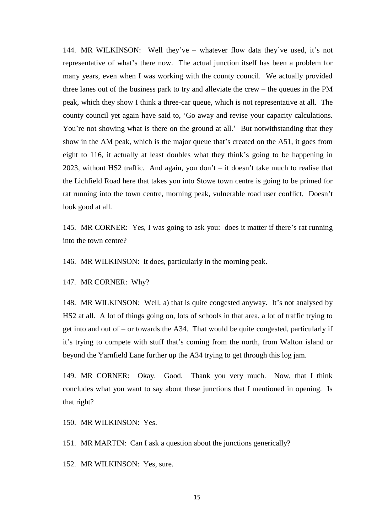144. MR WILKINSON: Well they've – whatever flow data they've used, it's not representative of what's there now. The actual junction itself has been a problem for many years, even when I was working with the county council. We actually provided three lanes out of the business park to try and alleviate the crew – the queues in the PM peak, which they show I think a three-car queue, which is not representative at all. The county council yet again have said to, 'Go away and revise your capacity calculations. You're not showing what is there on the ground at all.' But notwithstanding that they show in the AM peak, which is the major queue that's created on the A51, it goes from eight to 116, it actually at least doubles what they think's going to be happening in 2023, without HS2 traffic. And again, you don't – it doesn't take much to realise that the Lichfield Road here that takes you into Stowe town centre is going to be primed for rat running into the town centre, morning peak, vulnerable road user conflict. Doesn't look good at all.

145. MR CORNER: Yes, I was going to ask you: does it matter if there's rat running into the town centre?

146. MR WILKINSON: It does, particularly in the morning peak.

147. MR CORNER: Why?

148. MR WILKINSON: Well, a) that is quite congested anyway. It's not analysed by HS2 at all. A lot of things going on, lots of schools in that area, a lot of traffic trying to get into and out of – or towards the A34. That would be quite congested, particularly if it's trying to compete with stuff that's coming from the north, from Walton island or beyond the Yarnfield Lane further up the A34 trying to get through this log jam.

149. MR CORNER: Okay. Good. Thank you very much. Now, that I think concludes what you want to say about these junctions that I mentioned in opening. Is that right?

150. MR WILKINSON: Yes.

151. MR MARTIN: Can I ask a question about the junctions generically?

152. MR WILKINSON: Yes, sure.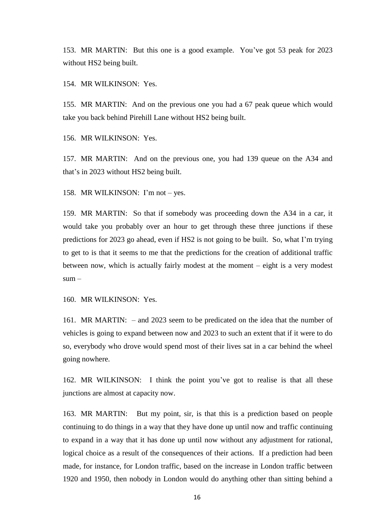153. MR MARTIN: But this one is a good example. You've got 53 peak for 2023 without HS2 being built.

154. MR WILKINSON: Yes.

155. MR MARTIN: And on the previous one you had a 67 peak queue which would take you back behind Pirehill Lane without HS2 being built.

156. MR WILKINSON: Yes.

157. MR MARTIN: And on the previous one, you had 139 queue on the A34 and that's in 2023 without HS2 being built.

158. MR WILKINSON: I'm not – yes.

159. MR MARTIN: So that if somebody was proceeding down the A34 in a car, it would take you probably over an hour to get through these three junctions if these predictions for 2023 go ahead, even if HS2 is not going to be built. So, what I'm trying to get to is that it seems to me that the predictions for the creation of additional traffic between now, which is actually fairly modest at the moment – eight is a very modest  $sum -$ 

160. MR WILKINSON: Yes.

161. MR MARTIN: – and 2023 seem to be predicated on the idea that the number of vehicles is going to expand between now and 2023 to such an extent that if it were to do so, everybody who drove would spend most of their lives sat in a car behind the wheel going nowhere.

162. MR WILKINSON: I think the point you've got to realise is that all these junctions are almost at capacity now.

163. MR MARTIN: But my point, sir, is that this is a prediction based on people continuing to do things in a way that they have done up until now and traffic continuing to expand in a way that it has done up until now without any adjustment for rational, logical choice as a result of the consequences of their actions. If a prediction had been made, for instance, for London traffic, based on the increase in London traffic between 1920 and 1950, then nobody in London would do anything other than sitting behind a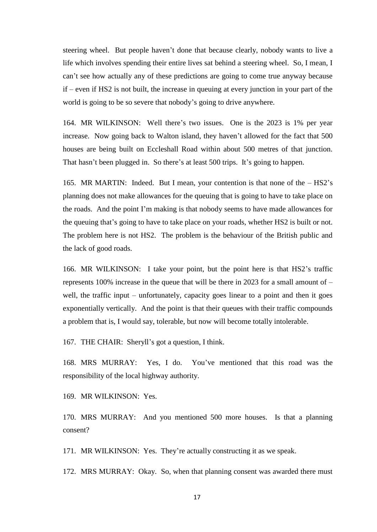steering wheel. But people haven't done that because clearly, nobody wants to live a life which involves spending their entire lives sat behind a steering wheel. So, I mean, I can't see how actually any of these predictions are going to come true anyway because if – even if HS2 is not built, the increase in queuing at every junction in your part of the world is going to be so severe that nobody's going to drive anywhere.

164. MR WILKINSON: Well there's two issues. One is the 2023 is 1% per year increase. Now going back to Walton island, they haven't allowed for the fact that 500 houses are being built on Eccleshall Road within about 500 metres of that junction. That hasn't been plugged in. So there's at least 500 trips. It's going to happen.

165. MR MARTIN: Indeed. But I mean, your contention is that none of the – HS2's planning does not make allowances for the queuing that is going to have to take place on the roads. And the point I'm making is that nobody seems to have made allowances for the queuing that's going to have to take place on your roads, whether HS2 is built or not. The problem here is not HS2. The problem is the behaviour of the British public and the lack of good roads.

166. MR WILKINSON: I take your point, but the point here is that HS2's traffic represents 100% increase in the queue that will be there in 2023 for a small amount of  $$ well, the traffic input – unfortunately, capacity goes linear to a point and then it goes exponentially vertically. And the point is that their queues with their traffic compounds a problem that is, I would say, tolerable, but now will become totally intolerable.

167. THE CHAIR: Sheryll's got a question, I think.

168. MRS MURRAY: Yes, I do. You've mentioned that this road was the responsibility of the local highway authority.

169. MR WILKINSON: Yes.

170. MRS MURRAY: And you mentioned 500 more houses. Is that a planning consent?

171. MR WILKINSON: Yes. They're actually constructing it as we speak.

172. MRS MURRAY: Okay. So, when that planning consent was awarded there must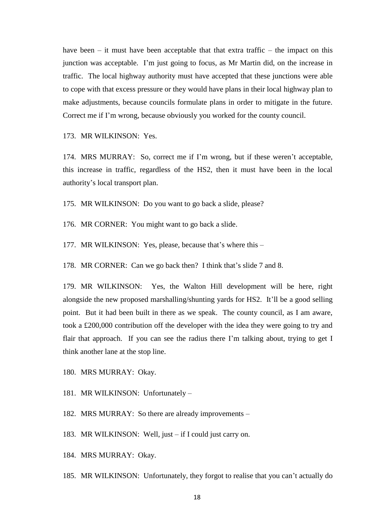have been – it must have been acceptable that that extra traffic – the impact on this junction was acceptable. I'm just going to focus, as Mr Martin did, on the increase in traffic. The local highway authority must have accepted that these junctions were able to cope with that excess pressure or they would have plans in their local highway plan to make adjustments, because councils formulate plans in order to mitigate in the future. Correct me if I'm wrong, because obviously you worked for the county council.

173. MR WILKINSON: Yes.

174. MRS MURRAY: So, correct me if I'm wrong, but if these weren't acceptable, this increase in traffic, regardless of the HS2, then it must have been in the local authority's local transport plan.

175. MR WILKINSON: Do you want to go back a slide, please?

176. MR CORNER: You might want to go back a slide.

177. MR WILKINSON: Yes, please, because that's where this –

178. MR CORNER: Can we go back then? I think that's slide 7 and 8.

179. MR WILKINSON: Yes, the Walton Hill development will be here, right alongside the new proposed marshalling/shunting yards for HS2. It'll be a good selling point. But it had been built in there as we speak. The county council, as I am aware, took a £200,000 contribution off the developer with the idea they were going to try and flair that approach. If you can see the radius there I'm talking about, trying to get I think another lane at the stop line.

180. MRS MURRAY: Okay.

181. MR WILKINSON: Unfortunately –

182. MRS MURRAY: So there are already improvements –

183. MR WILKINSON: Well, just – if I could just carry on.

184. MRS MURRAY: Okay.

185. MR WILKINSON: Unfortunately, they forgot to realise that you can't actually do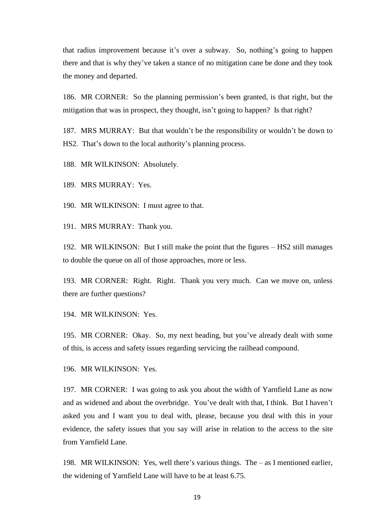that radius improvement because it's over a subway. So, nothing's going to happen there and that is why they've taken a stance of no mitigation cane be done and they took the money and departed.

186. MR CORNER: So the planning permission's been granted, is that right, but the mitigation that was in prospect, they thought, isn't going to happen? Is that right?

187. MRS MURRAY: But that wouldn't be the responsibility or wouldn't be down to HS2. That's down to the local authority's planning process.

188. MR WILKINSON: Absolutely.

189. MRS MURRAY: Yes.

190. MR WILKINSON: I must agree to that.

191. MRS MURRAY: Thank you.

192. MR WILKINSON: But I still make the point that the figures – HS2 still manages to double the queue on all of those approaches, more or less.

193. MR CORNER: Right. Right. Thank you very much. Can we move on, unless there are further questions?

194. MR WILKINSON: Yes.

195. MR CORNER: Okay. So, my next heading, but you've already dealt with some of this, is access and safety issues regarding servicing the railhead compound.

196. MR WILKINSON: Yes.

197. MR CORNER: I was going to ask you about the width of Yarnfield Lane as now and as widened and about the overbridge. You've dealt with that, I think. But I haven't asked you and I want you to deal with, please, because you deal with this in your evidence, the safety issues that you say will arise in relation to the access to the site from Yarnfield Lane.

198. MR WILKINSON: Yes, well there's various things. The – as I mentioned earlier, the widening of Yarnfield Lane will have to be at least 6.75.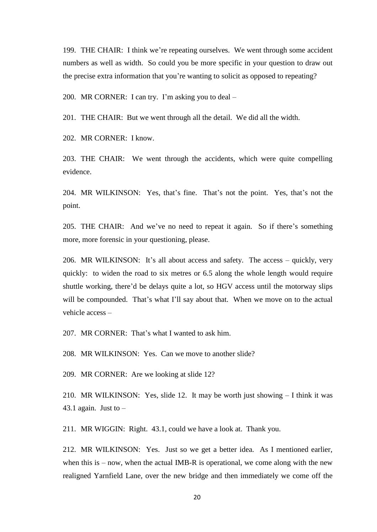199. THE CHAIR: I think we're repeating ourselves. We went through some accident numbers as well as width. So could you be more specific in your question to draw out the precise extra information that you're wanting to solicit as opposed to repeating?

200. MR CORNER: I can try. I'm asking you to deal –

201. THE CHAIR: But we went through all the detail. We did all the width.

202. MR CORNER: I know.

203. THE CHAIR: We went through the accidents, which were quite compelling evidence.

204. MR WILKINSON: Yes, that's fine. That's not the point. Yes, that's not the point.

205. THE CHAIR: And we've no need to repeat it again. So if there's something more, more forensic in your questioning, please.

206. MR WILKINSON: It's all about access and safety. The access – quickly, very quickly: to widen the road to six metres or 6.5 along the whole length would require shuttle working, there'd be delays quite a lot, so HGV access until the motorway slips will be compounded. That's what I'll say about that. When we move on to the actual vehicle access –

207. MR CORNER: That's what I wanted to ask him.

208. MR WILKINSON: Yes. Can we move to another slide?

209. MR CORNER: Are we looking at slide 12?

210. MR WILKINSON: Yes, slide 12. It may be worth just showing – I think it was 43.1 again. Just to  $-$ 

211. MR WIGGIN: Right. 43.1, could we have a look at. Thank you.

212. MR WILKINSON: Yes. Just so we get a better idea. As I mentioned earlier, when this is – now, when the actual IMB-R is operational, we come along with the new realigned Yarnfield Lane, over the new bridge and then immediately we come off the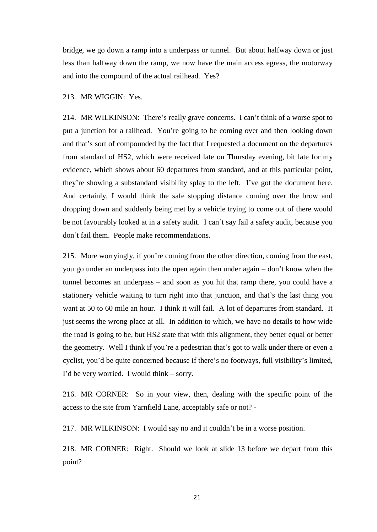bridge, we go down a ramp into a underpass or tunnel. But about halfway down or just less than halfway down the ramp, we now have the main access egress, the motorway and into the compound of the actual railhead. Yes?

#### 213. MR WIGGIN: Yes.

214. MR WILKINSON: There's really grave concerns. I can't think of a worse spot to put a junction for a railhead. You're going to be coming over and then looking down and that's sort of compounded by the fact that I requested a document on the departures from standard of HS2, which were received late on Thursday evening, bit late for my evidence, which shows about 60 departures from standard, and at this particular point, they're showing a substandard visibility splay to the left. I've got the document here. And certainly, I would think the safe stopping distance coming over the brow and dropping down and suddenly being met by a vehicle trying to come out of there would be not favourably looked at in a safety audit. I can't say fail a safety audit, because you don't fail them. People make recommendations.

215. More worryingly, if you're coming from the other direction, coming from the east, you go under an underpass into the open again then under again – don't know when the tunnel becomes an underpass – and soon as you hit that ramp there, you could have a stationery vehicle waiting to turn right into that junction, and that's the last thing you want at 50 to 60 mile an hour. I think it will fail. A lot of departures from standard. It just seems the wrong place at all. In addition to which, we have no details to how wide the road is going to be, but HS2 state that with this alignment, they better equal or better the geometry. Well I think if you're a pedestrian that's got to walk under there or even a cyclist, you'd be quite concerned because if there's no footways, full visibility's limited, I'd be very worried. I would think – sorry.

216. MR CORNER: So in your view, then, dealing with the specific point of the access to the site from Yarnfield Lane, acceptably safe or not? -

217. MR WILKINSON: I would say no and it couldn't be in a worse position.

218. MR CORNER: Right. Should we look at slide 13 before we depart from this point?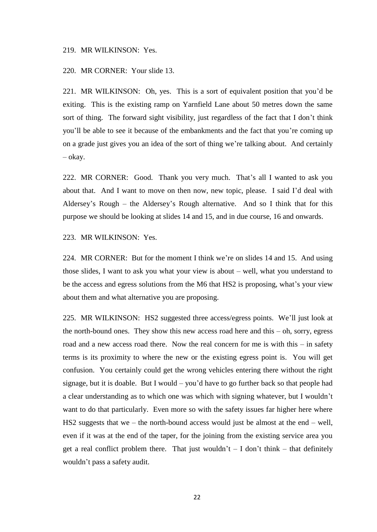#### 219. MR WILKINSON: Yes.

220. MR CORNER: Your slide 13.

221. MR WILKINSON: Oh, yes. This is a sort of equivalent position that you'd be exiting. This is the existing ramp on Yarnfield Lane about 50 metres down the same sort of thing. The forward sight visibility, just regardless of the fact that I don't think you'll be able to see it because of the embankments and the fact that you're coming up on a grade just gives you an idea of the sort of thing we're talking about. And certainly – okay.

222. MR CORNER: Good. Thank you very much. That's all I wanted to ask you about that. And I want to move on then now, new topic, please. I said I'd deal with Aldersey's Rough – the Aldersey's Rough alternative. And so I think that for this purpose we should be looking at slides 14 and 15, and in due course, 16 and onwards.

223. MR WILKINSON: Yes.

224. MR CORNER: But for the moment I think we're on slides 14 and 15. And using those slides, I want to ask you what your view is about – well, what you understand to be the access and egress solutions from the M6 that HS2 is proposing, what's your view about them and what alternative you are proposing.

225. MR WILKINSON: HS2 suggested three access/egress points. We'll just look at the north-bound ones. They show this new access road here and this  $-$  oh, sorry, egress road and a new access road there. Now the real concern for me is with this – in safety terms is its proximity to where the new or the existing egress point is. You will get confusion. You certainly could get the wrong vehicles entering there without the right signage, but it is doable. But I would – you'd have to go further back so that people had a clear understanding as to which one was which with signing whatever, but I wouldn't want to do that particularly. Even more so with the safety issues far higher here where HS2 suggests that we – the north-bound access would just be almost at the end – well, even if it was at the end of the taper, for the joining from the existing service area you get a real conflict problem there. That just wouldn't  $- I$  don't think  $-$  that definitely wouldn't pass a safety audit.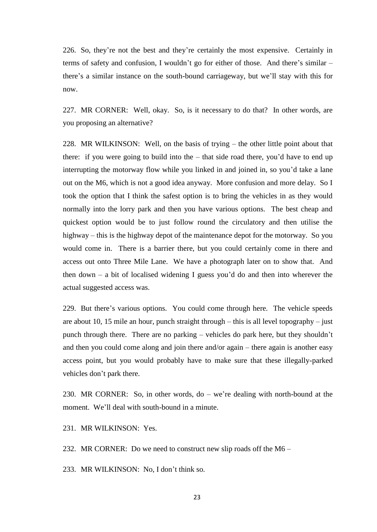226. So, they're not the best and they're certainly the most expensive. Certainly in terms of safety and confusion, I wouldn't go for either of those. And there's similar – there's a similar instance on the south-bound carriageway, but we'll stay with this for now.

227. MR CORNER: Well, okay. So, is it necessary to do that? In other words, are you proposing an alternative?

228. MR WILKINSON: Well, on the basis of trying – the other little point about that there: if you were going to build into the – that side road there, you'd have to end up interrupting the motorway flow while you linked in and joined in, so you'd take a lane out on the M6, which is not a good idea anyway. More confusion and more delay. So I took the option that I think the safest option is to bring the vehicles in as they would normally into the lorry park and then you have various options. The best cheap and quickest option would be to just follow round the circulatory and then utilise the highway – this is the highway depot of the maintenance depot for the motorway. So you would come in. There is a barrier there, but you could certainly come in there and access out onto Three Mile Lane. We have a photograph later on to show that. And then down – a bit of localised widening I guess you'd do and then into wherever the actual suggested access was.

229. But there's various options. You could come through here. The vehicle speeds are about 10, 15 mile an hour, punch straight through – this is all level topography – just punch through there. There are no parking – vehicles do park here, but they shouldn't and then you could come along and join there and/or again – there again is another easy access point, but you would probably have to make sure that these illegally-parked vehicles don't park there.

230. MR CORNER: So, in other words, do – we're dealing with north-bound at the moment. We'll deal with south-bound in a minute.

231. MR WILKINSON: Yes.

232. MR CORNER: Do we need to construct new slip roads off the M6 –

233. MR WILKINSON: No, I don't think so.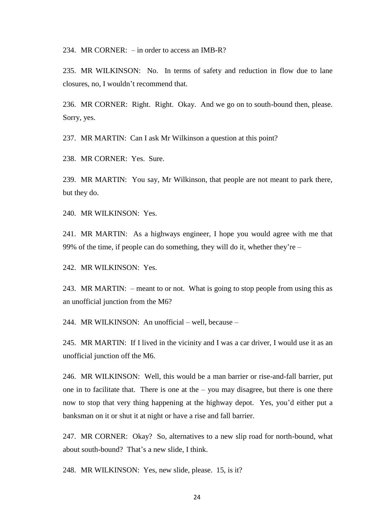234. MR CORNER: – in order to access an IMB-R?

235. MR WILKINSON: No. In terms of safety and reduction in flow due to lane closures, no, I wouldn't recommend that.

236. MR CORNER: Right. Right. Okay. And we go on to south-bound then, please. Sorry, yes.

237. MR MARTIN: Can I ask Mr Wilkinson a question at this point?

238. MR CORNER: Yes. Sure.

239. MR MARTIN: You say, Mr Wilkinson, that people are not meant to park there, but they do.

240. MR WILKINSON: Yes.

241. MR MARTIN: As a highways engineer, I hope you would agree with me that 99% of the time, if people can do something, they will do it, whether they're –

242. MR WILKINSON: Yes.

243. MR MARTIN: – meant to or not. What is going to stop people from using this as an unofficial junction from the M6?

244. MR WILKINSON: An unofficial – well, because –

245. MR MARTIN: If I lived in the vicinity and I was a car driver, I would use it as an unofficial junction off the M6.

246. MR WILKINSON: Well, this would be a man barrier or rise-and-fall barrier, put one in to facilitate that. There is one at the  $-$  you may disagree, but there is one there now to stop that very thing happening at the highway depot. Yes, you'd either put a banksman on it or shut it at night or have a rise and fall barrier.

247. MR CORNER: Okay? So, alternatives to a new slip road for north-bound, what about south-bound? That's a new slide, I think.

248. MR WILKINSON: Yes, new slide, please. 15, is it?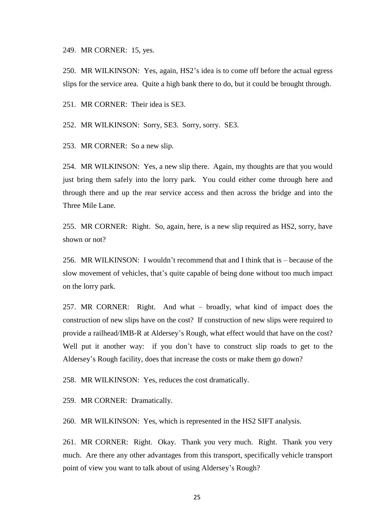249. MR CORNER: 15, yes.

250. MR WILKINSON: Yes, again, HS2's idea is to come off before the actual egress slips for the service area. Quite a high bank there to do, but it could be brought through.

251. MR CORNER: Their idea is SE3.

252. MR WILKINSON: Sorry, SE3. Sorry, sorry. SE3.

253. MR CORNER: So a new slip.

254. MR WILKINSON: Yes, a new slip there. Again, my thoughts are that you would just bring them safely into the lorry park. You could either come through here and through there and up the rear service access and then across the bridge and into the Three Mile Lane.

255. MR CORNER: Right. So, again, here, is a new slip required as HS2, sorry, have shown or not?

256. MR WILKINSON: I wouldn't recommend that and I think that is – because of the slow movement of vehicles, that's quite capable of being done without too much impact on the lorry park.

257. MR CORNER: Right. And what – broadly, what kind of impact does the construction of new slips have on the cost? If construction of new slips were required to provide a railhead/IMB-R at Aldersey's Rough, what effect would that have on the cost? Well put it another way: if you don't have to construct slip roads to get to the Aldersey's Rough facility, does that increase the costs or make them go down?

258. MR WILKINSON: Yes, reduces the cost dramatically.

259. MR CORNER: Dramatically.

260. MR WILKINSON: Yes, which is represented in the HS2 SIFT analysis.

261. MR CORNER: Right. Okay. Thank you very much. Right. Thank you very much. Are there any other advantages from this transport, specifically vehicle transport point of view you want to talk about of using Aldersey's Rough?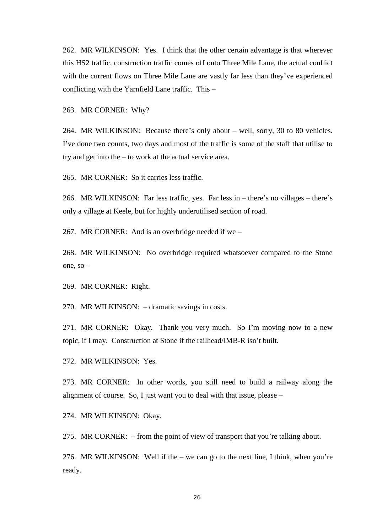262. MR WILKINSON: Yes. I think that the other certain advantage is that wherever this HS2 traffic, construction traffic comes off onto Three Mile Lane, the actual conflict with the current flows on Three Mile Lane are vastly far less than they've experienced conflicting with the Yarnfield Lane traffic. This –

263. MR CORNER: Why?

264. MR WILKINSON: Because there's only about – well, sorry, 30 to 80 vehicles. I've done two counts, two days and most of the traffic is some of the staff that utilise to try and get into the – to work at the actual service area.

265. MR CORNER: So it carries less traffic.

266. MR WILKINSON: Far less traffic, yes. Far less in – there's no villages – there's only a village at Keele, but for highly underutilised section of road.

267. MR CORNER: And is an overbridge needed if we –

268. MR WILKINSON: No overbridge required whatsoever compared to the Stone one, so –

269. MR CORNER: Right.

270. MR WILKINSON: – dramatic savings in costs.

271. MR CORNER: Okay. Thank you very much. So I'm moving now to a new topic, if I may. Construction at Stone if the railhead/IMB-R isn't built.

272. MR WILKINSON: Yes.

273. MR CORNER: In other words, you still need to build a railway along the alignment of course. So, I just want you to deal with that issue, please –

274. MR WILKINSON: Okay.

275. MR CORNER: – from the point of view of transport that you're talking about.

276. MR WILKINSON: Well if the – we can go to the next line, I think, when you're ready.

26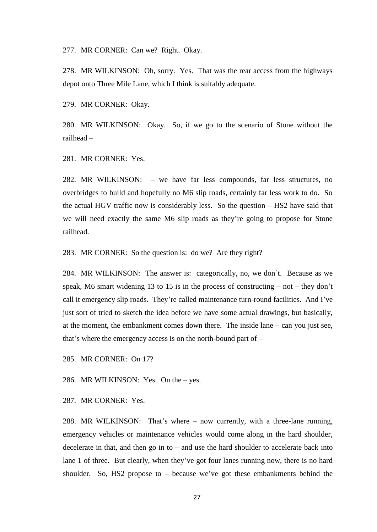277. MR CORNER: Can we? Right. Okay.

278. MR WILKINSON: Oh, sorry. Yes. That was the rear access from the highways depot onto Three Mile Lane, which I think is suitably adequate.

279. MR CORNER: Okay.

280. MR WILKINSON: Okay. So, if we go to the scenario of Stone without the railhead –

281. MR CORNER: Yes.

282. MR WILKINSON: – we have far less compounds, far less structures, no overbridges to build and hopefully no M6 slip roads, certainly far less work to do. So the actual HGV traffic now is considerably less. So the question – HS2 have said that we will need exactly the same M6 slip roads as they're going to propose for Stone railhead.

283. MR CORNER: So the question is: do we? Are they right?

284. MR WILKINSON: The answer is: categorically, no, we don't. Because as we speak, M6 smart widening 13 to 15 is in the process of constructing  $-$  not  $-$  they don't call it emergency slip roads. They're called maintenance turn-round facilities. And I've just sort of tried to sketch the idea before we have some actual drawings, but basically, at the moment, the embankment comes down there. The inside lane – can you just see, that's where the emergency access is on the north-bound part of –

285. MR CORNER: On 17?

286. MR WILKINSON: Yes. On the – yes.

287. MR CORNER: Yes.

288. MR WILKINSON: That's where – now currently, with a three-lane running, emergency vehicles or maintenance vehicles would come along in the hard shoulder, decelerate in that, and then go in to  $-$  and use the hard shoulder to accelerate back into lane 1 of three. But clearly, when they've got four lanes running now, there is no hard shoulder. So, HS2 propose to – because we've got these embankments behind the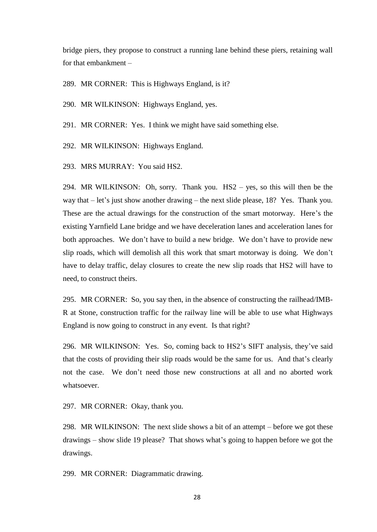bridge piers, they propose to construct a running lane behind these piers, retaining wall for that embankment –

289. MR CORNER: This is Highways England, is it?

290. MR WILKINSON: Highways England, yes.

291. MR CORNER: Yes. I think we might have said something else.

292. MR WILKINSON: Highways England.

293. MRS MURRAY: You said HS2.

294. MR WILKINSON: Oh, sorry. Thank you. HS2 – yes, so this will then be the way that – let's just show another drawing – the next slide please, 18? Yes. Thank you. These are the actual drawings for the construction of the smart motorway. Here's the existing Yarnfield Lane bridge and we have deceleration lanes and acceleration lanes for both approaches. We don't have to build a new bridge. We don't have to provide new slip roads, which will demolish all this work that smart motorway is doing. We don't have to delay traffic, delay closures to create the new slip roads that HS2 will have to need, to construct theirs.

295. MR CORNER: So, you say then, in the absence of constructing the railhead/IMB-R at Stone, construction traffic for the railway line will be able to use what Highways England is now going to construct in any event. Is that right?

296. MR WILKINSON: Yes. So, coming back to HS2's SIFT analysis, they've said that the costs of providing their slip roads would be the same for us. And that's clearly not the case. We don't need those new constructions at all and no aborted work whatsoever.

297. MR CORNER: Okay, thank you.

298. MR WILKINSON: The next slide shows a bit of an attempt – before we got these drawings – show slide 19 please? That shows what's going to happen before we got the drawings.

299. MR CORNER: Diagrammatic drawing.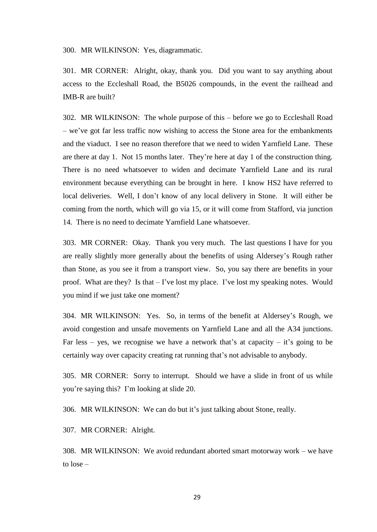300. MR WILKINSON: Yes, diagrammatic.

301. MR CORNER: Alright, okay, thank you. Did you want to say anything about access to the Eccleshall Road, the B5026 compounds, in the event the railhead and IMB-R are built?

302. MR WILKINSON: The whole purpose of this – before we go to Eccleshall Road – we've got far less traffic now wishing to access the Stone area for the embankments and the viaduct. I see no reason therefore that we need to widen Yarnfield Lane. These are there at day 1. Not 15 months later. They're here at day 1 of the construction thing. There is no need whatsoever to widen and decimate Yarnfield Lane and its rural environment because everything can be brought in here. I know HS2 have referred to local deliveries. Well, I don't know of any local delivery in Stone. It will either be coming from the north, which will go via 15, or it will come from Stafford, via junction 14. There is no need to decimate Yarnfield Lane whatsoever.

303. MR CORNER: Okay. Thank you very much. The last questions I have for you are really slightly more generally about the benefits of using Aldersey's Rough rather than Stone, as you see it from a transport view. So, you say there are benefits in your proof. What are they? Is that – I've lost my place. I've lost my speaking notes. Would you mind if we just take one moment?

304. MR WILKINSON: Yes. So, in terms of the benefit at Aldersey's Rough, we avoid congestion and unsafe movements on Yarnfield Lane and all the A34 junctions. Far less – yes, we recognise we have a network that's at capacity – it's going to be certainly way over capacity creating rat running that's not advisable to anybody.

305. MR CORNER: Sorry to interrupt. Should we have a slide in front of us while you're saying this? I'm looking at slide 20.

306. MR WILKINSON: We can do but it's just talking about Stone, really.

307. MR CORNER: Alright.

308. MR WILKINSON: We avoid redundant aborted smart motorway work – we have to lose –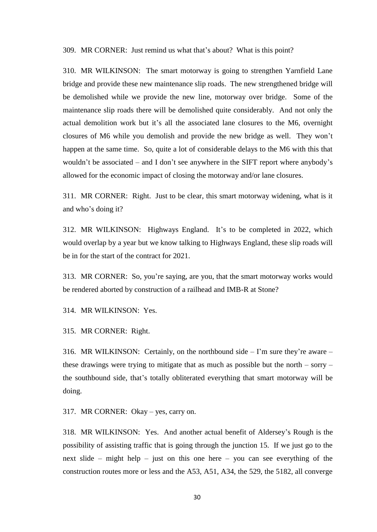309. MR CORNER: Just remind us what that's about? What is this point?

310. MR WILKINSON: The smart motorway is going to strengthen Yarnfield Lane bridge and provide these new maintenance slip roads. The new strengthened bridge will be demolished while we provide the new line, motorway over bridge. Some of the maintenance slip roads there will be demolished quite considerably. And not only the actual demolition work but it's all the associated lane closures to the M6, overnight closures of M6 while you demolish and provide the new bridge as well. They won't happen at the same time. So, quite a lot of considerable delays to the M6 with this that wouldn't be associated – and I don't see anywhere in the SIFT report where anybody's allowed for the economic impact of closing the motorway and/or lane closures.

311. MR CORNER: Right. Just to be clear, this smart motorway widening, what is it and who's doing it?

312. MR WILKINSON: Highways England. It's to be completed in 2022, which would overlap by a year but we know talking to Highways England, these slip roads will be in for the start of the contract for 2021.

313. MR CORNER: So, you're saying, are you, that the smart motorway works would be rendered aborted by construction of a railhead and IMB-R at Stone?

314. MR WILKINSON: Yes.

315. MR CORNER: Right.

316. MR WILKINSON: Certainly, on the northbound side  $-$  I'm sure they're aware  $$ these drawings were trying to mitigate that as much as possible but the north – sorry – the southbound side, that's totally obliterated everything that smart motorway will be doing.

317. MR CORNER: Okay – yes, carry on.

318. MR WILKINSON: Yes. And another actual benefit of Aldersey's Rough is the possibility of assisting traffic that is going through the junction 15. If we just go to the next slide – might help – just on this one here – you can see everything of the construction routes more or less and the A53, A51, A34, the 529, the 5182, all converge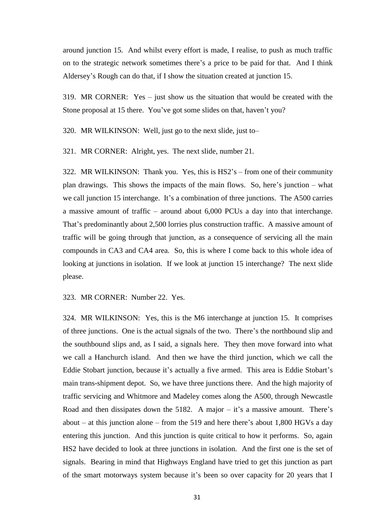around junction 15. And whilst every effort is made, I realise, to push as much traffic on to the strategic network sometimes there's a price to be paid for that. And I think Aldersey's Rough can do that, if I show the situation created at junction 15.

319. MR CORNER: Yes – just show us the situation that would be created with the Stone proposal at 15 there. You've got some slides on that, haven't you?

320. MR WILKINSON: Well, just go to the next slide, just to–

321. MR CORNER: Alright, yes. The next slide, number 21.

322. MR WILKINSON: Thank you. Yes, this is HS2's – from one of their community plan drawings. This shows the impacts of the main flows. So, here's junction – what we call junction 15 interchange. It's a combination of three junctions. The A500 carries a massive amount of traffic – around about 6,000 PCUs a day into that interchange. That's predominantly about 2,500 lorries plus construction traffic. A massive amount of traffic will be going through that junction, as a consequence of servicing all the main compounds in CA3 and CA4 area. So, this is where I come back to this whole idea of looking at junctions in isolation. If we look at junction 15 interchange? The next slide please.

323. MR CORNER: Number 22. Yes.

324. MR WILKINSON: Yes, this is the M6 interchange at junction 15. It comprises of three junctions. One is the actual signals of the two. There's the northbound slip and the southbound slips and, as I said, a signals here. They then move forward into what we call a Hanchurch island. And then we have the third junction, which we call the Eddie Stobart junction, because it's actually a five armed. This area is Eddie Stobart's main trans-shipment depot. So, we have three junctions there. And the high majority of traffic servicing and Whitmore and Madeley comes along the A500, through Newcastle Road and then dissipates down the 5182. A major  $-$  it's a massive amount. There's about – at this junction alone – from the 519 and here there's about 1,800 HGVs a day entering this junction. And this junction is quite critical to how it performs. So, again HS2 have decided to look at three junctions in isolation. And the first one is the set of signals. Bearing in mind that Highways England have tried to get this junction as part of the smart motorways system because it's been so over capacity for 20 years that I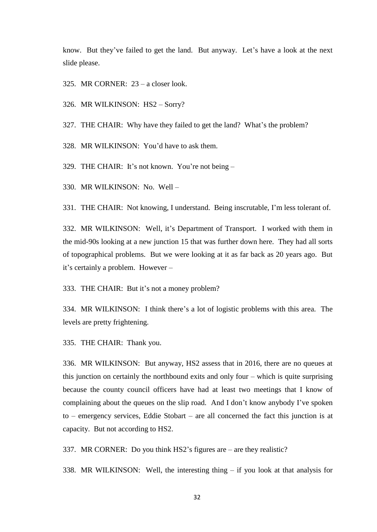know. But they've failed to get the land. But anyway. Let's have a look at the next slide please.

325. MR CORNER: 23 – a closer look.

326. MR WILKINSON: HS2 – Sorry?

327. THE CHAIR: Why have they failed to get the land? What's the problem?

328. MR WILKINSON: You'd have to ask them.

329. THE CHAIR: It's not known. You're not being –

330. MR WILKINSON: No. Well –

331. THE CHAIR: Not knowing, I understand. Being inscrutable, I'm less tolerant of.

332. MR WILKINSON: Well, it's Department of Transport. I worked with them in the mid-90s looking at a new junction 15 that was further down here. They had all sorts of topographical problems. But we were looking at it as far back as 20 years ago. But it's certainly a problem. However –

333. THE CHAIR: But it's not a money problem?

334. MR WILKINSON: I think there's a lot of logistic problems with this area. The levels are pretty frightening.

335. THE CHAIR: Thank you.

336. MR WILKINSON: But anyway, HS2 assess that in 2016, there are no queues at this junction on certainly the northbound exits and only four – which is quite surprising because the county council officers have had at least two meetings that I know of complaining about the queues on the slip road. And I don't know anybody I've spoken to – emergency services, Eddie Stobart – are all concerned the fact this junction is at capacity. But not according to HS2.

337. MR CORNER: Do you think HS2's figures are – are they realistic?

338. MR WILKINSON: Well, the interesting thing – if you look at that analysis for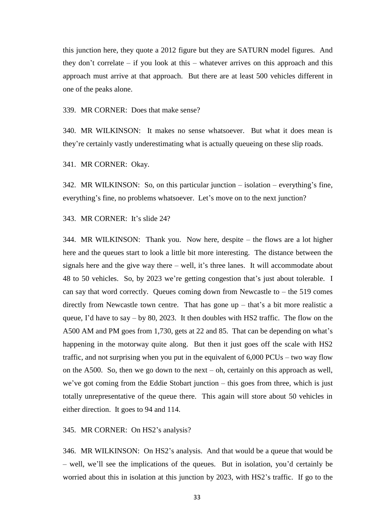this junction here, they quote a 2012 figure but they are SATURN model figures. And they don't correlate – if you look at this – whatever arrives on this approach and this approach must arrive at that approach. But there are at least 500 vehicles different in one of the peaks alone.

339. MR CORNER: Does that make sense?

340. MR WILKINSON: It makes no sense whatsoever. But what it does mean is they're certainly vastly underestimating what is actually queueing on these slip roads.

341. MR CORNER: Okay.

342. MR WILKINSON: So, on this particular junction – isolation – everything's fine, everything's fine, no problems whatsoever. Let's move on to the next junction?

343. MR CORNER: It's slide 24?

344. MR WILKINSON: Thank you. Now here, despite – the flows are a lot higher here and the queues start to look a little bit more interesting. The distance between the signals here and the give way there – well, it's three lanes. It will accommodate about 48 to 50 vehicles. So, by 2023 we're getting congestion that's just about tolerable. I can say that word correctly. Queues coming down from Newcastle to  $-$  the 519 comes directly from Newcastle town centre. That has gone up – that's a bit more realistic a queue, I'd have to say – by 80, 2023. It then doubles with HS2 traffic. The flow on the A500 AM and PM goes from 1,730, gets at 22 and 85. That can be depending on what's happening in the motorway quite along. But then it just goes off the scale with HS2 traffic, and not surprising when you put in the equivalent of 6,000 PCUs – two way flow on the A500. So, then we go down to the next – oh, certainly on this approach as well, we've got coming from the Eddie Stobart junction – this goes from three, which is just totally unrepresentative of the queue there. This again will store about 50 vehicles in either direction. It goes to 94 and 114.

345. MR CORNER: On HS2's analysis?

346. MR WILKINSON: On HS2's analysis. And that would be a queue that would be – well, we'll see the implications of the queues. But in isolation, you'd certainly be worried about this in isolation at this junction by 2023, with HS2's traffic. If go to the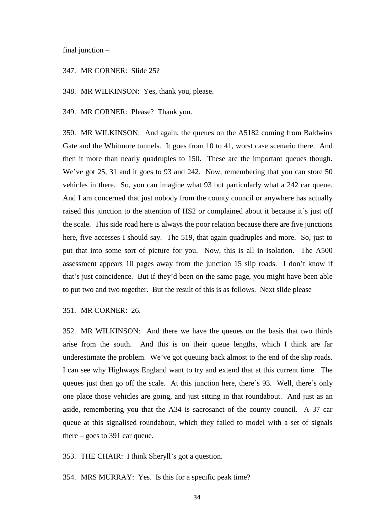final junction –

347. MR CORNER: Slide 25?

348. MR WILKINSON: Yes, thank you, please.

349. MR CORNER: Please? Thank you.

350. MR WILKINSON: And again, the queues on the A5182 coming from Baldwins Gate and the Whitmore tunnels. It goes from 10 to 41, worst case scenario there. And then it more than nearly quadruples to 150. These are the important queues though. We've got 25, 31 and it goes to 93 and 242. Now, remembering that you can store 50 vehicles in there. So, you can imagine what 93 but particularly what a 242 car queue. And I am concerned that just nobody from the county council or anywhere has actually raised this junction to the attention of HS2 or complained about it because it's just off the scale. This side road here is always the poor relation because there are five junctions here, five accesses I should say. The 519, that again quadruples and more. So, just to put that into some sort of picture for you. Now, this is all in isolation. The A500 assessment appears 10 pages away from the junction 15 slip roads. I don't know if that's just coincidence. But if they'd been on the same page, you might have been able to put two and two together. But the result of this is as follows. Next slide please

351. MR CORNER: 26.

352. MR WILKINSON: And there we have the queues on the basis that two thirds arise from the south. And this is on their queue lengths, which I think are far underestimate the problem. We've got queuing back almost to the end of the slip roads. I can see why Highways England want to try and extend that at this current time. The queues just then go off the scale. At this junction here, there's 93. Well, there's only one place those vehicles are going, and just sitting in that roundabout. And just as an aside, remembering you that the A34 is sacrosanct of the county council. A 37 car queue at this signalised roundabout, which they failed to model with a set of signals there – goes to 391 car queue.

353. THE CHAIR: I think Sheryll's got a question.

354. MRS MURRAY: Yes. Is this for a specific peak time?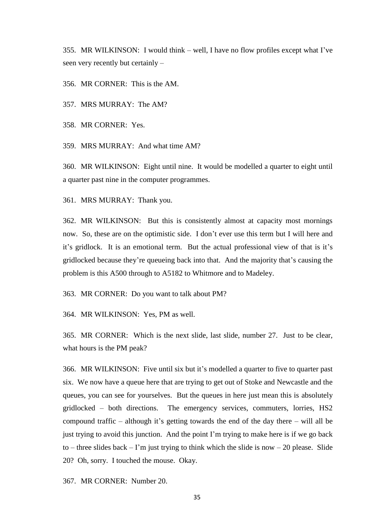355. MR WILKINSON: I would think – well, I have no flow profiles except what I've seen very recently but certainly –

356. MR CORNER: This is the AM.

357. MRS MURRAY: The AM?

358. MR CORNER: Yes.

359. MRS MURRAY: And what time AM?

360. MR WILKINSON: Eight until nine. It would be modelled a quarter to eight until a quarter past nine in the computer programmes.

361. MRS MURRAY: Thank you.

362. MR WILKINSON: But this is consistently almost at capacity most mornings now. So, these are on the optimistic side. I don't ever use this term but I will here and it's gridlock. It is an emotional term. But the actual professional view of that is it's gridlocked because they're queueing back into that. And the majority that's causing the problem is this A500 through to A5182 to Whitmore and to Madeley.

363. MR CORNER: Do you want to talk about PM?

364. MR WILKINSON: Yes, PM as well.

365. MR CORNER: Which is the next slide, last slide, number 27. Just to be clear, what hours is the PM peak?

366. MR WILKINSON: Five until six but it's modelled a quarter to five to quarter past six. We now have a queue here that are trying to get out of Stoke and Newcastle and the queues, you can see for yourselves. But the queues in here just mean this is absolutely gridlocked – both directions. The emergency services, commuters, lorries, HS2 compound traffic – although it's getting towards the end of the day there – will all be just trying to avoid this junction. And the point I'm trying to make here is if we go back to – three slides back – I'm just trying to think which the slide is now – 20 please. Slide 20? Oh, sorry. I touched the mouse. Okay.

367. MR CORNER: Number 20.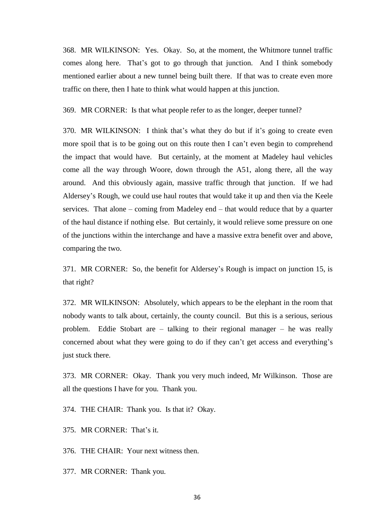368. MR WILKINSON: Yes. Okay. So, at the moment, the Whitmore tunnel traffic comes along here. That's got to go through that junction. And I think somebody mentioned earlier about a new tunnel being built there. If that was to create even more traffic on there, then I hate to think what would happen at this junction.

369. MR CORNER: Is that what people refer to as the longer, deeper tunnel?

370. MR WILKINSON: I think that's what they do but if it's going to create even more spoil that is to be going out on this route then I can't even begin to comprehend the impact that would have. But certainly, at the moment at Madeley haul vehicles come all the way through Woore, down through the A51, along there, all the way around. And this obviously again, massive traffic through that junction. If we had Aldersey's Rough, we could use haul routes that would take it up and then via the Keele services. That alone – coming from Madeley end – that would reduce that by a quarter of the haul distance if nothing else. But certainly, it would relieve some pressure on one of the junctions within the interchange and have a massive extra benefit over and above, comparing the two.

371. MR CORNER: So, the benefit for Aldersey's Rough is impact on junction 15, is that right?

372. MR WILKINSON: Absolutely, which appears to be the elephant in the room that nobody wants to talk about, certainly, the county council. But this is a serious, serious problem. Eddie Stobart are – talking to their regional manager – he was really concerned about what they were going to do if they can't get access and everything's just stuck there.

373. MR CORNER: Okay. Thank you very much indeed, Mr Wilkinson. Those are all the questions I have for you. Thank you.

374. THE CHAIR: Thank you. Is that it? Okay.

375. MR CORNER: That's it.

376. THE CHAIR: Your next witness then.

377. MR CORNER: Thank you.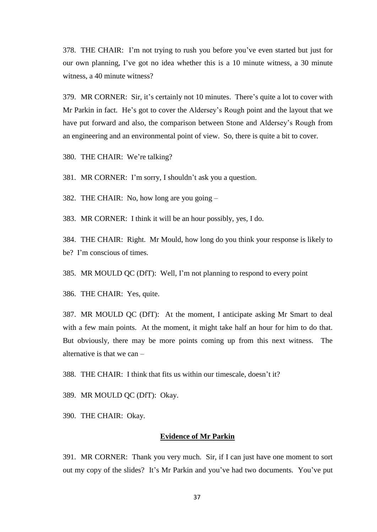378. THE CHAIR: I'm not trying to rush you before you've even started but just for our own planning, I've got no idea whether this is a 10 minute witness, a 30 minute witness, a 40 minute witness?

379. MR CORNER: Sir, it's certainly not 10 minutes. There's quite a lot to cover with Mr Parkin in fact. He's got to cover the Aldersey's Rough point and the layout that we have put forward and also, the comparison between Stone and Aldersey's Rough from an engineering and an environmental point of view. So, there is quite a bit to cover.

380. THE CHAIR: We're talking?

381. MR CORNER: I'm sorry, I shouldn't ask you a question.

382. THE CHAIR: No, how long are you going –

383. MR CORNER: I think it will be an hour possibly, yes, I do.

384. THE CHAIR: Right. Mr Mould, how long do you think your response is likely to be? I'm conscious of times.

385. MR MOULD QC (DfT): Well, I'm not planning to respond to every point

386. THE CHAIR: Yes, quite.

387. MR MOULD QC (DfT): At the moment, I anticipate asking Mr Smart to deal with a few main points. At the moment, it might take half an hour for him to do that. But obviously, there may be more points coming up from this next witness. The alternative is that we can –

388. THE CHAIR: I think that fits us within our timescale, doesn't it?

389. MR MOULD QC (DfT): Okay.

390. THE CHAIR: Okay.

## **Evidence of Mr Parkin**

391. MR CORNER: Thank you very much. Sir, if I can just have one moment to sort out my copy of the slides? It's Mr Parkin and you've had two documents. You've put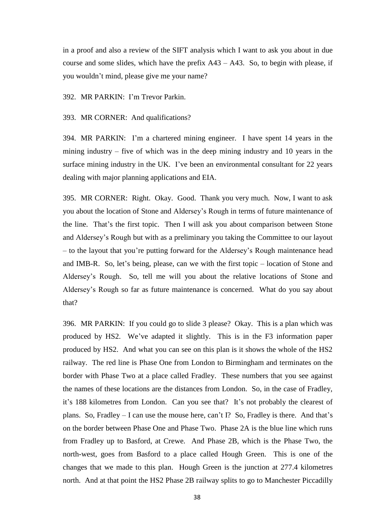in a proof and also a review of the SIFT analysis which I want to ask you about in due course and some slides, which have the prefix  $A43 - A43$ . So, to begin with please, if you wouldn't mind, please give me your name?

392. MR PARKIN: I'm Trevor Parkin.

393. MR CORNER: And qualifications?

394. MR PARKIN: I'm a chartered mining engineer. I have spent 14 years in the mining industry – five of which was in the deep mining industry and 10 years in the surface mining industry in the UK. I've been an environmental consultant for 22 years dealing with major planning applications and EIA.

395. MR CORNER: Right. Okay. Good. Thank you very much. Now, I want to ask you about the location of Stone and Aldersey's Rough in terms of future maintenance of the line. That's the first topic. Then I will ask you about comparison between Stone and Aldersey's Rough but with as a preliminary you taking the Committee to our layout – to the layout that you're putting forward for the Aldersey's Rough maintenance head and IMB-R. So, let's being, please, can we with the first topic – location of Stone and Aldersey's Rough. So, tell me will you about the relative locations of Stone and Aldersey's Rough so far as future maintenance is concerned. What do you say about that?

396. MR PARKIN: If you could go to slide 3 please? Okay. This is a plan which was produced by HS2. We've adapted it slightly. This is in the F3 information paper produced by HS2. And what you can see on this plan is it shows the whole of the HS2 railway. The red line is Phase One from London to Birmingham and terminates on the border with Phase Two at a place called Fradley. These numbers that you see against the names of these locations are the distances from London. So, in the case of Fradley, it's 188 kilometres from London. Can you see that? It's not probably the clearest of plans. So, Fradley – I can use the mouse here, can't I? So, Fradley is there. And that's on the border between Phase One and Phase Two. Phase 2A is the blue line which runs from Fradley up to Basford, at Crewe. And Phase 2B, which is the Phase Two, the north-west, goes from Basford to a place called Hough Green. This is one of the changes that we made to this plan. Hough Green is the junction at 277.4 kilometres north. And at that point the HS2 Phase 2B railway splits to go to Manchester Piccadilly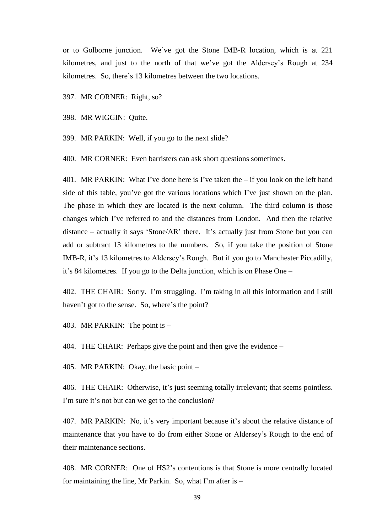or to Golborne junction. We've got the Stone IMB-R location, which is at 221 kilometres, and just to the north of that we've got the Aldersey's Rough at 234 kilometres. So, there's 13 kilometres between the two locations.

397. MR CORNER: Right, so?

398. MR WIGGIN: Quite.

399. MR PARKIN: Well, if you go to the next slide?

400. MR CORNER: Even barristers can ask short questions sometimes.

401. MR PARKIN: What I've done here is I've taken the – if you look on the left hand side of this table, you've got the various locations which I've just shown on the plan. The phase in which they are located is the next column. The third column is those changes which I've referred to and the distances from London. And then the relative distance – actually it says 'Stone/AR' there. It's actually just from Stone but you can add or subtract 13 kilometres to the numbers. So, if you take the position of Stone IMB-R, it's 13 kilometres to Aldersey's Rough. But if you go to Manchester Piccadilly, it's 84 kilometres. If you go to the Delta junction, which is on Phase One –

402. THE CHAIR: Sorry. I'm struggling. I'm taking in all this information and I still haven't got to the sense. So, where's the point?

403. MR PARKIN: The point is –

404. THE CHAIR: Perhaps give the point and then give the evidence –

405. MR PARKIN: Okay, the basic point –

406. THE CHAIR: Otherwise, it's just seeming totally irrelevant; that seems pointless. I'm sure it's not but can we get to the conclusion?

407. MR PARKIN: No, it's very important because it's about the relative distance of maintenance that you have to do from either Stone or Aldersey's Rough to the end of their maintenance sections.

408. MR CORNER: One of HS2's contentions is that Stone is more centrally located for maintaining the line, Mr Parkin. So, what I'm after is –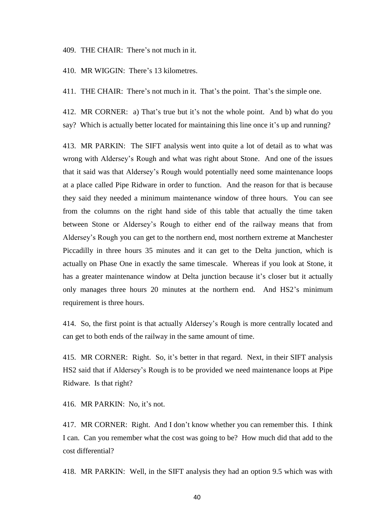409. THE CHAIR: There's not much in it.

410. MR WIGGIN: There's 13 kilometres.

411. THE CHAIR: There's not much in it. That's the point. That's the simple one.

412. MR CORNER: a) That's true but it's not the whole point. And b) what do you say? Which is actually better located for maintaining this line once it's up and running?

413. MR PARKIN: The SIFT analysis went into quite a lot of detail as to what was wrong with Aldersey's Rough and what was right about Stone. And one of the issues that it said was that Aldersey's Rough would potentially need some maintenance loops at a place called Pipe Ridware in order to function. And the reason for that is because they said they needed a minimum maintenance window of three hours. You can see from the columns on the right hand side of this table that actually the time taken between Stone or Aldersey's Rough to either end of the railway means that from Aldersey's Rough you can get to the northern end, most northern extreme at Manchester Piccadilly in three hours 35 minutes and it can get to the Delta junction, which is actually on Phase One in exactly the same timescale. Whereas if you look at Stone, it has a greater maintenance window at Delta junction because it's closer but it actually only manages three hours 20 minutes at the northern end. And HS2's minimum requirement is three hours.

414. So, the first point is that actually Aldersey's Rough is more centrally located and can get to both ends of the railway in the same amount of time.

415. MR CORNER: Right. So, it's better in that regard. Next, in their SIFT analysis HS2 said that if Aldersey's Rough is to be provided we need maintenance loops at Pipe Ridware. Is that right?

416. MR PARKIN: No, it's not.

417. MR CORNER: Right. And I don't know whether you can remember this. I think I can. Can you remember what the cost was going to be? How much did that add to the cost differential?

418. MR PARKIN: Well, in the SIFT analysis they had an option 9.5 which was with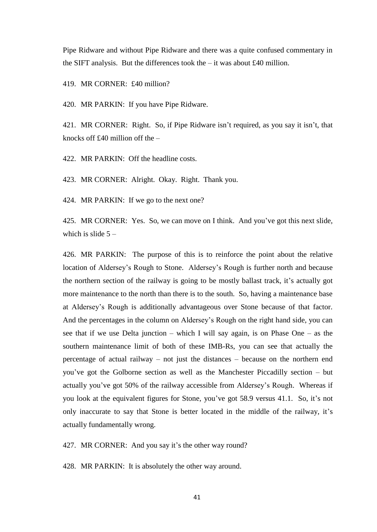Pipe Ridware and without Pipe Ridware and there was a quite confused commentary in the SIFT analysis. But the differences took the  $-$  it was about £40 million.

419. MR CORNER: £40 million?

420. MR PARKIN: If you have Pipe Ridware.

421. MR CORNER: Right. So, if Pipe Ridware isn't required, as you say it isn't, that knocks off £40 million off the –

422. MR PARKIN: Off the headline costs.

423. MR CORNER: Alright. Okay. Right. Thank you.

424. MR PARKIN: If we go to the next one?

425. MR CORNER: Yes. So, we can move on I think. And you've got this next slide, which is slide  $5 -$ 

426. MR PARKIN: The purpose of this is to reinforce the point about the relative location of Aldersey's Rough to Stone. Aldersey's Rough is further north and because the northern section of the railway is going to be mostly ballast track, it's actually got more maintenance to the north than there is to the south. So, having a maintenance base at Aldersey's Rough is additionally advantageous over Stone because of that factor. And the percentages in the column on Aldersey's Rough on the right hand side, you can see that if we use Delta junction – which I will say again, is on Phase One – as the southern maintenance limit of both of these IMB-Rs, you can see that actually the percentage of actual railway – not just the distances – because on the northern end you've got the Golborne section as well as the Manchester Piccadilly section – but actually you've got 50% of the railway accessible from Aldersey's Rough. Whereas if you look at the equivalent figures for Stone, you've got 58.9 versus 41.1. So, it's not only inaccurate to say that Stone is better located in the middle of the railway, it's actually fundamentally wrong.

427. MR CORNER: And you say it's the other way round?

428. MR PARKIN: It is absolutely the other way around.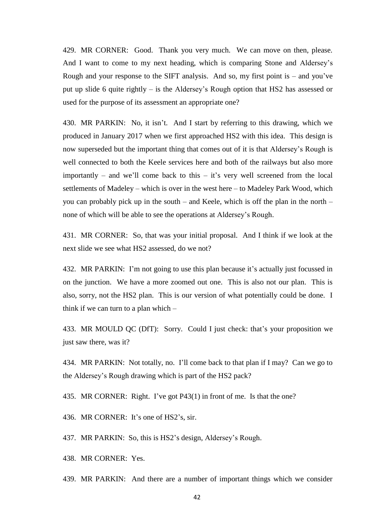429. MR CORNER: Good. Thank you very much. We can move on then, please. And I want to come to my next heading, which is comparing Stone and Aldersey's Rough and your response to the SIFT analysis. And so, my first point is  $-$  and you've put up slide 6 quite rightly – is the Aldersey's Rough option that HS2 has assessed or used for the purpose of its assessment an appropriate one?

430. MR PARKIN: No, it isn't. And I start by referring to this drawing, which we produced in January 2017 when we first approached HS2 with this idea. This design is now superseded but the important thing that comes out of it is that Aldersey's Rough is well connected to both the Keele services here and both of the railways but also more importantly – and we'll come back to this – it's very well screened from the local settlements of Madeley – which is over in the west here – to Madeley Park Wood, which you can probably pick up in the south – and Keele, which is off the plan in the north – none of which will be able to see the operations at Aldersey's Rough.

431. MR CORNER: So, that was your initial proposal. And I think if we look at the next slide we see what HS2 assessed, do we not?

432. MR PARKIN: I'm not going to use this plan because it's actually just focussed in on the junction. We have a more zoomed out one. This is also not our plan. This is also, sorry, not the HS2 plan. This is our version of what potentially could be done. I think if we can turn to a plan which –

433. MR MOULD QC (DfT): Sorry. Could I just check: that's your proposition we just saw there, was it?

434. MR PARKIN: Not totally, no. I'll come back to that plan if I may? Can we go to the Aldersey's Rough drawing which is part of the HS2 pack?

435. MR CORNER: Right. I've got P43(1) in front of me. Is that the one?

436. MR CORNER: It's one of HS2's, sir.

437. MR PARKIN: So, this is HS2's design, Aldersey's Rough.

438. MR CORNER: Yes.

439. MR PARKIN: And there are a number of important things which we consider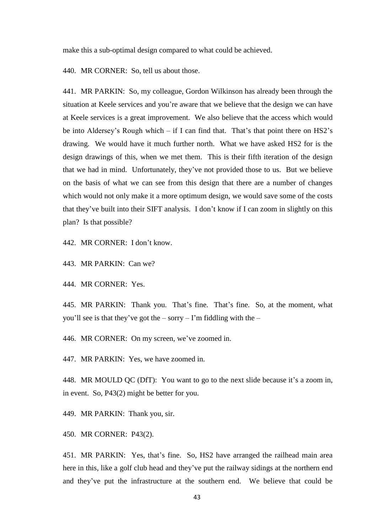make this a sub-optimal design compared to what could be achieved.

440. MR CORNER: So, tell us about those.

441. MR PARKIN: So, my colleague, Gordon Wilkinson has already been through the situation at Keele services and you're aware that we believe that the design we can have at Keele services is a great improvement. We also believe that the access which would be into Aldersey's Rough which – if I can find that. That's that point there on HS2's drawing. We would have it much further north. What we have asked HS2 for is the design drawings of this, when we met them. This is their fifth iteration of the design that we had in mind. Unfortunately, they've not provided those to us. But we believe on the basis of what we can see from this design that there are a number of changes which would not only make it a more optimum design, we would save some of the costs that they've built into their SIFT analysis. I don't know if I can zoom in slightly on this plan? Is that possible?

442. MR CORNER: I don't know.

443. MR PARKIN: Can we?

444. MR CORNER: Yes.

445. MR PARKIN: Thank you. That's fine. That's fine. So, at the moment, what you'll see is that they've got the – sorry – I'm fiddling with the –

446. MR CORNER: On my screen, we've zoomed in.

447. MR PARKIN: Yes, we have zoomed in.

448. MR MOULD QC (DfT): You want to go to the next slide because it's a zoom in, in event. So, P43(2) might be better for you.

449. MR PARKIN: Thank you, sir.

450. MR CORNER: P43(2).

451. MR PARKIN: Yes, that's fine. So, HS2 have arranged the railhead main area here in this, like a golf club head and they've put the railway sidings at the northern end and they've put the infrastructure at the southern end. We believe that could be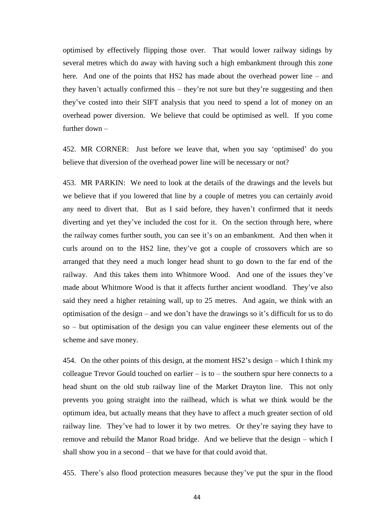optimised by effectively flipping those over. That would lower railway sidings by several metres which do away with having such a high embankment through this zone here. And one of the points that HS2 has made about the overhead power line – and they haven't actually confirmed this – they're not sure but they're suggesting and then they've costed into their SIFT analysis that you need to spend a lot of money on an overhead power diversion. We believe that could be optimised as well. If you come further down –

452. MR CORNER: Just before we leave that, when you say 'optimised' do you believe that diversion of the overhead power line will be necessary or not?

453. MR PARKIN: We need to look at the details of the drawings and the levels but we believe that if you lowered that line by a couple of metres you can certainly avoid any need to divert that. But as I said before, they haven't confirmed that it needs diverting and yet they've included the cost for it. On the section through here, where the railway comes further south, you can see it's on an embankment. And then when it curls around on to the HS2 line, they've got a couple of crossovers which are so arranged that they need a much longer head shunt to go down to the far end of the railway. And this takes them into Whitmore Wood. And one of the issues they've made about Whitmore Wood is that it affects further ancient woodland. They've also said they need a higher retaining wall, up to 25 metres. And again, we think with an optimisation of the design – and we don't have the drawings so it's difficult for us to do so – but optimisation of the design you can value engineer these elements out of the scheme and save money.

454. On the other points of this design, at the moment HS2's design – which I think my colleague Trevor Gould touched on earlier – is to – the southern spur here connects to a head shunt on the old stub railway line of the Market Drayton line. This not only prevents you going straight into the railhead, which is what we think would be the optimum idea, but actually means that they have to affect a much greater section of old railway line. They've had to lower it by two metres. Or they're saying they have to remove and rebuild the Manor Road bridge. And we believe that the design – which I shall show you in a second – that we have for that could avoid that.

455. There's also flood protection measures because they've put the spur in the flood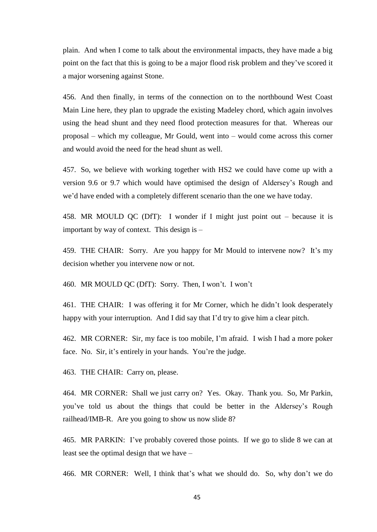plain. And when I come to talk about the environmental impacts, they have made a big point on the fact that this is going to be a major flood risk problem and they've scored it a major worsening against Stone.

456. And then finally, in terms of the connection on to the northbound West Coast Main Line here, they plan to upgrade the existing Madeley chord, which again involves using the head shunt and they need flood protection measures for that. Whereas our proposal – which my colleague, Mr Gould, went into – would come across this corner and would avoid the need for the head shunt as well.

457. So, we believe with working together with HS2 we could have come up with a version 9.6 or 9.7 which would have optimised the design of Aldersey's Rough and we'd have ended with a completely different scenario than the one we have today.

458. MR MOULD QC (DfT): I wonder if I might just point out – because it is important by way of context. This design is –

459. THE CHAIR: Sorry. Are you happy for Mr Mould to intervene now? It's my decision whether you intervene now or not.

460. MR MOULD QC (DfT): Sorry. Then, I won't. I won't

461. THE CHAIR: I was offering it for Mr Corner, which he didn't look desperately happy with your interruption. And I did say that I'd try to give him a clear pitch.

462. MR CORNER: Sir, my face is too mobile, I'm afraid. I wish I had a more poker face. No. Sir, it's entirely in your hands. You're the judge.

463. THE CHAIR: Carry on, please.

464. MR CORNER: Shall we just carry on? Yes. Okay. Thank you. So, Mr Parkin, you've told us about the things that could be better in the Aldersey's Rough railhead/IMB-R. Are you going to show us now slide 8?

465. MR PARKIN: I've probably covered those points. If we go to slide 8 we can at least see the optimal design that we have –

466. MR CORNER: Well, I think that's what we should do. So, why don't we do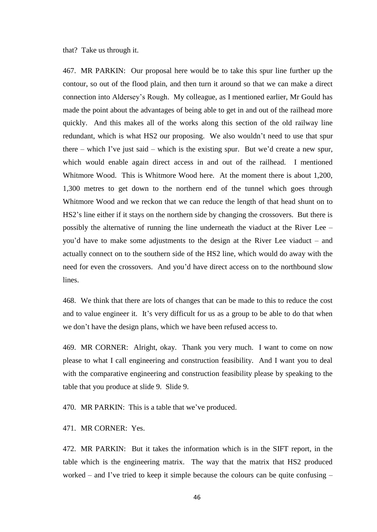that? Take us through it.

467. MR PARKIN: Our proposal here would be to take this spur line further up the contour, so out of the flood plain, and then turn it around so that we can make a direct connection into Aldersey's Rough. My colleague, as I mentioned earlier, Mr Gould has made the point about the advantages of being able to get in and out of the railhead more quickly. And this makes all of the works along this section of the old railway line redundant, which is what HS2 our proposing. We also wouldn't need to use that spur there – which I've just said – which is the existing spur. But we'd create a new spur, which would enable again direct access in and out of the railhead. I mentioned Whitmore Wood. This is Whitmore Wood here. At the moment there is about 1,200, 1,300 metres to get down to the northern end of the tunnel which goes through Whitmore Wood and we reckon that we can reduce the length of that head shunt on to HS2's line either if it stays on the northern side by changing the crossovers. But there is possibly the alternative of running the line underneath the viaduct at the River Lee – you'd have to make some adjustments to the design at the River Lee viaduct – and actually connect on to the southern side of the HS2 line, which would do away with the need for even the crossovers. And you'd have direct access on to the northbound slow lines.

468. We think that there are lots of changes that can be made to this to reduce the cost and to value engineer it. It's very difficult for us as a group to be able to do that when we don't have the design plans, which we have been refused access to.

469. MR CORNER: Alright, okay. Thank you very much. I want to come on now please to what I call engineering and construction feasibility. And I want you to deal with the comparative engineering and construction feasibility please by speaking to the table that you produce at slide 9. Slide 9.

470. MR PARKIN: This is a table that we've produced.

471. MR CORNER: Yes.

472. MR PARKIN: But it takes the information which is in the SIFT report, in the table which is the engineering matrix. The way that the matrix that HS2 produced worked – and I've tried to keep it simple because the colours can be quite confusing –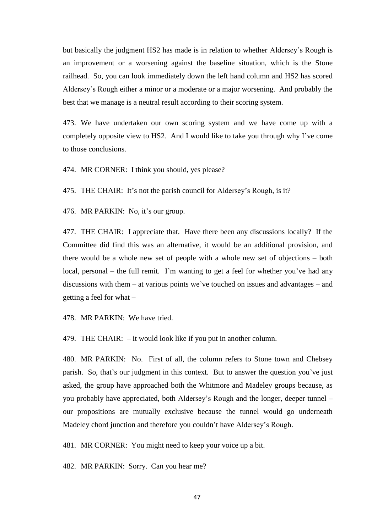but basically the judgment HS2 has made is in relation to whether Aldersey's Rough is an improvement or a worsening against the baseline situation, which is the Stone railhead. So, you can look immediately down the left hand column and HS2 has scored Aldersey's Rough either a minor or a moderate or a major worsening. And probably the best that we manage is a neutral result according to their scoring system.

473. We have undertaken our own scoring system and we have come up with a completely opposite view to HS2. And I would like to take you through why I've come to those conclusions.

474. MR CORNER: I think you should, yes please?

475. THE CHAIR: It's not the parish council for Aldersey's Rough, is it?

476. MR PARKIN: No, it's our group.

477. THE CHAIR: I appreciate that. Have there been any discussions locally? If the Committee did find this was an alternative, it would be an additional provision, and there would be a whole new set of people with a whole new set of objections – both local, personal – the full remit. I'm wanting to get a feel for whether you've had any discussions with them – at various points we've touched on issues and advantages – and getting a feel for what –

478. MR PARKIN: We have tried.

479. THE CHAIR: – it would look like if you put in another column.

480. MR PARKIN: No. First of all, the column refers to Stone town and Chebsey parish. So, that's our judgment in this context. But to answer the question you've just asked, the group have approached both the Whitmore and Madeley groups because, as you probably have appreciated, both Aldersey's Rough and the longer, deeper tunnel – our propositions are mutually exclusive because the tunnel would go underneath Madeley chord junction and therefore you couldn't have Aldersey's Rough.

481. MR CORNER: You might need to keep your voice up a bit.

482. MR PARKIN: Sorry. Can you hear me?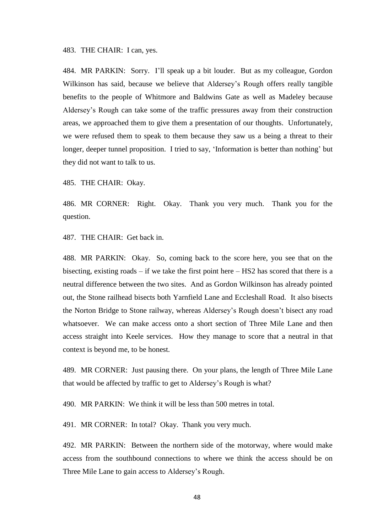483. THE CHAIR: I can, yes.

484. MR PARKIN: Sorry. I'll speak up a bit louder. But as my colleague, Gordon Wilkinson has said, because we believe that Aldersey's Rough offers really tangible benefits to the people of Whitmore and Baldwins Gate as well as Madeley because Aldersey's Rough can take some of the traffic pressures away from their construction areas, we approached them to give them a presentation of our thoughts. Unfortunately, we were refused them to speak to them because they saw us a being a threat to their longer, deeper tunnel proposition. I tried to say, 'Information is better than nothing' but they did not want to talk to us.

485. THE CHAIR: Okay.

486. MR CORNER: Right. Okay. Thank you very much. Thank you for the question.

487. THE CHAIR: Get back in.

488. MR PARKIN: Okay. So, coming back to the score here, you see that on the bisecting, existing roads – if we take the first point here – HS2 has scored that there is a neutral difference between the two sites. And as Gordon Wilkinson has already pointed out, the Stone railhead bisects both Yarnfield Lane and Eccleshall Road. It also bisects the Norton Bridge to Stone railway, whereas Aldersey's Rough doesn't bisect any road whatsoever. We can make access onto a short section of Three Mile Lane and then access straight into Keele services. How they manage to score that a neutral in that context is beyond me, to be honest.

489. MR CORNER: Just pausing there. On your plans, the length of Three Mile Lane that would be affected by traffic to get to Aldersey's Rough is what?

490. MR PARKIN: We think it will be less than 500 metres in total.

491. MR CORNER: In total? Okay. Thank you very much.

492. MR PARKIN: Between the northern side of the motorway, where would make access from the southbound connections to where we think the access should be on Three Mile Lane to gain access to Aldersey's Rough.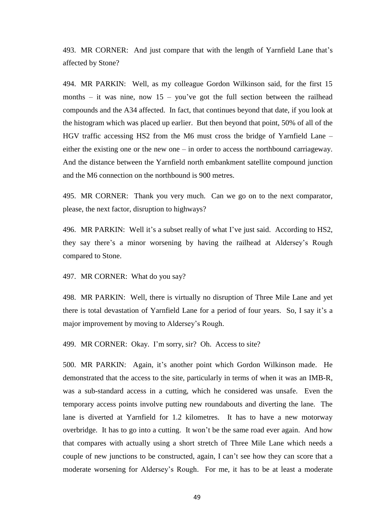493. MR CORNER: And just compare that with the length of Yarnfield Lane that's affected by Stone?

494. MR PARKIN: Well, as my colleague Gordon Wilkinson said, for the first 15 months – it was nine, now  $15 - you've$  got the full section between the railhead compounds and the A34 affected. In fact, that continues beyond that date, if you look at the histogram which was placed up earlier. But then beyond that point, 50% of all of the HGV traffic accessing HS2 from the M6 must cross the bridge of Yarnfield Lane – either the existing one or the new one – in order to access the northbound carriageway. And the distance between the Yarnfield north embankment satellite compound junction and the M6 connection on the northbound is 900 metres.

495. MR CORNER: Thank you very much. Can we go on to the next comparator, please, the next factor, disruption to highways?

496. MR PARKIN: Well it's a subset really of what I've just said. According to HS2, they say there's a minor worsening by having the railhead at Aldersey's Rough compared to Stone.

497. MR CORNER: What do you say?

498. MR PARKIN: Well, there is virtually no disruption of Three Mile Lane and yet there is total devastation of Yarnfield Lane for a period of four years. So, I say it's a major improvement by moving to Aldersey's Rough.

499. MR CORNER: Okay. I'm sorry, sir? Oh. Access to site?

500. MR PARKIN: Again, it's another point which Gordon Wilkinson made. He demonstrated that the access to the site, particularly in terms of when it was an IMB-R, was a sub-standard access in a cutting, which he considered was unsafe. Even the temporary access points involve putting new roundabouts and diverting the lane. The lane is diverted at Yarnfield for 1.2 kilometres. It has to have a new motorway overbridge. It has to go into a cutting. It won't be the same road ever again. And how that compares with actually using a short stretch of Three Mile Lane which needs a couple of new junctions to be constructed, again, I can't see how they can score that a moderate worsening for Aldersey's Rough. For me, it has to be at least a moderate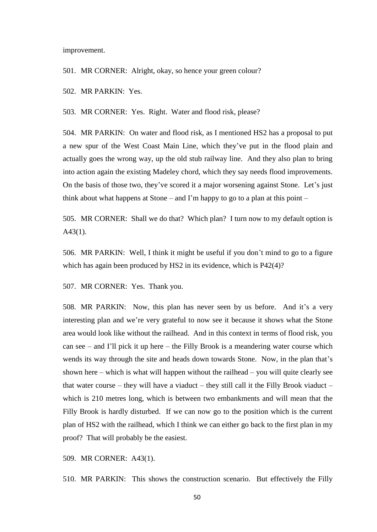improvement.

501. MR CORNER: Alright, okay, so hence your green colour?

502. MR PARKIN: Yes.

503. MR CORNER: Yes. Right. Water and flood risk, please?

504. MR PARKIN: On water and flood risk, as I mentioned HS2 has a proposal to put a new spur of the West Coast Main Line, which they've put in the flood plain and actually goes the wrong way, up the old stub railway line. And they also plan to bring into action again the existing Madeley chord, which they say needs flood improvements. On the basis of those two, they've scored it a major worsening against Stone. Let's just think about what happens at Stone – and I'm happy to go to a plan at this point –

505. MR CORNER: Shall we do that? Which plan? I turn now to my default option is A43(1).

506. MR PARKIN: Well, I think it might be useful if you don't mind to go to a figure which has again been produced by HS2 in its evidence, which is P42(4)?

507. MR CORNER: Yes. Thank you.

508. MR PARKIN: Now, this plan has never seen by us before. And it's a very interesting plan and we're very grateful to now see it because it shows what the Stone area would look like without the railhead. And in this context in terms of flood risk, you can see – and I'll pick it up here – the Filly Brook is a meandering water course which wends its way through the site and heads down towards Stone. Now, in the plan that's shown here – which is what will happen without the railhead – you will quite clearly see that water course – they will have a viaduct – they still call it the Filly Brook viaduct – which is 210 metres long, which is between two embankments and will mean that the Filly Brook is hardly disturbed. If we can now go to the position which is the current plan of HS2 with the railhead, which I think we can either go back to the first plan in my proof? That will probably be the easiest.

509. MR CORNER: A43(1).

510. MR PARKIN: This shows the construction scenario. But effectively the Filly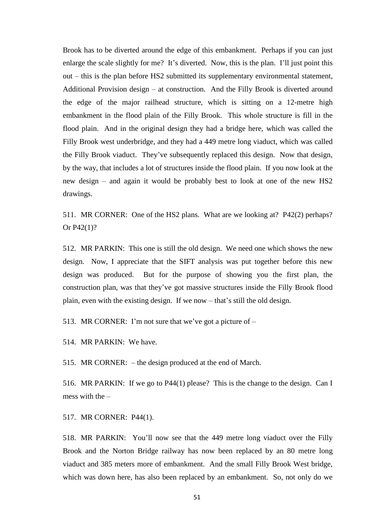Brook has to be diverted around the edge of this embankment. Perhaps if you can just enlarge the scale slightly for me? It's diverted. Now, this is the plan. I'll just point this out – this is the plan before HS2 submitted its supplementary environmental statement, Additional Provision design – at construction. And the Filly Brook is diverted around the edge of the major railhead structure, which is sitting on a 12-metre high embankment in the flood plain of the Filly Brook. This whole structure is fill in the flood plain. And in the original design they had a bridge here, which was called the Filly Brook west underbridge, and they had a 449 metre long viaduct, which was called the Filly Brook viaduct. They've subsequently replaced this design. Now that design, by the way, that includes a lot of structures inside the flood plain. If you now look at the new design – and again it would be probably best to look at one of the new HS2 drawings.

511. MR CORNER: One of the HS2 plans. What are we looking at? P42(2) perhaps? Or P42(1)?

512. MR PARKIN: This one is still the old design. We need one which shows the new design. Now, I appreciate that the SIFT analysis was put together before this new design was produced. But for the purpose of showing you the first plan, the construction plan, was that they've got massive structures inside the Filly Brook flood plain, even with the existing design. If we now – that's still the old design.

513. MR CORNER: I'm not sure that we've got a picture of –

514. MR PARKIN: We have.

515. MR CORNER: – the design produced at the end of March.

516. MR PARKIN: If we go to P44(1) please? This is the change to the design. Can I mess with the –

517. MR CORNER: P44(1).

518. MR PARKIN: You'll now see that the 449 metre long viaduct over the Filly Brook and the Norton Bridge railway has now been replaced by an 80 metre long viaduct and 385 meters more of embankment. And the small Filly Brook West bridge, which was down here, has also been replaced by an embankment. So, not only do we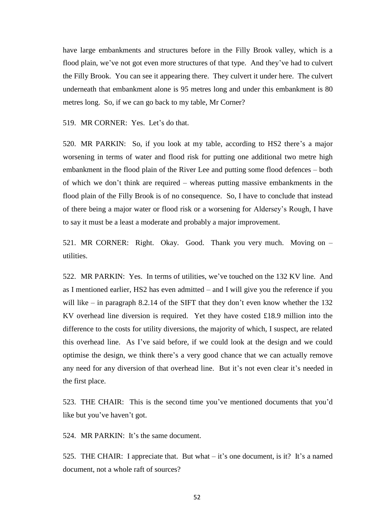have large embankments and structures before in the Filly Brook valley, which is a flood plain, we've not got even more structures of that type. And they've had to culvert the Filly Brook. You can see it appearing there. They culvert it under here. The culvert underneath that embankment alone is 95 metres long and under this embankment is 80 metres long. So, if we can go back to my table, Mr Corner?

519. MR CORNER: Yes. Let's do that.

520. MR PARKIN: So, if you look at my table, according to HS2 there's a major worsening in terms of water and flood risk for putting one additional two metre high embankment in the flood plain of the River Lee and putting some flood defences – both of which we don't think are required – whereas putting massive embankments in the flood plain of the Filly Brook is of no consequence. So, I have to conclude that instead of there being a major water or flood risk or a worsening for Aldersey's Rough, I have to say it must be a least a moderate and probably a major improvement.

521. MR CORNER: Right. Okay. Good. Thank you very much. Moving on – utilities.

522. MR PARKIN: Yes. In terms of utilities, we've touched on the 132 KV line. And as I mentioned earlier, HS2 has even admitted – and I will give you the reference if you will like – in paragraph 8.2.14 of the SIFT that they don't even know whether the 132 KV overhead line diversion is required. Yet they have costed £18.9 million into the difference to the costs for utility diversions, the majority of which, I suspect, are related this overhead line. As I've said before, if we could look at the design and we could optimise the design, we think there's a very good chance that we can actually remove any need for any diversion of that overhead line. But it's not even clear it's needed in the first place.

523. THE CHAIR: This is the second time you've mentioned documents that you'd like but you've haven't got.

524. MR PARKIN: It's the same document.

525. THE CHAIR: I appreciate that. But what – it's one document, is it? It's a named document, not a whole raft of sources?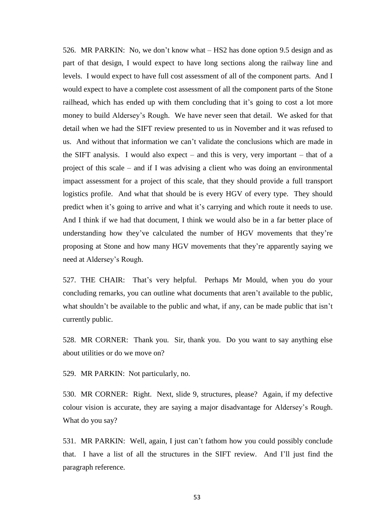526. MR PARKIN: No, we don't know what – HS2 has done option 9.5 design and as part of that design, I would expect to have long sections along the railway line and levels. I would expect to have full cost assessment of all of the component parts. And I would expect to have a complete cost assessment of all the component parts of the Stone railhead, which has ended up with them concluding that it's going to cost a lot more money to build Aldersey's Rough. We have never seen that detail. We asked for that detail when we had the SIFT review presented to us in November and it was refused to us. And without that information we can't validate the conclusions which are made in the SIFT analysis. I would also expect – and this is very, very important – that of a project of this scale – and if I was advising a client who was doing an environmental impact assessment for a project of this scale, that they should provide a full transport logistics profile. And what that should be is every HGV of every type. They should predict when it's going to arrive and what it's carrying and which route it needs to use. And I think if we had that document, I think we would also be in a far better place of understanding how they've calculated the number of HGV movements that they're proposing at Stone and how many HGV movements that they're apparently saying we need at Aldersey's Rough.

527. THE CHAIR: That's very helpful. Perhaps Mr Mould, when you do your concluding remarks, you can outline what documents that aren't available to the public, what shouldn't be available to the public and what, if any, can be made public that isn't currently public.

528. MR CORNER: Thank you. Sir, thank you. Do you want to say anything else about utilities or do we move on?

529. MR PARKIN: Not particularly, no.

530. MR CORNER: Right. Next, slide 9, structures, please? Again, if my defective colour vision is accurate, they are saying a major disadvantage for Aldersey's Rough. What do you say?

531. MR PARKIN: Well, again, I just can't fathom how you could possibly conclude that. I have a list of all the structures in the SIFT review. And I'll just find the paragraph reference.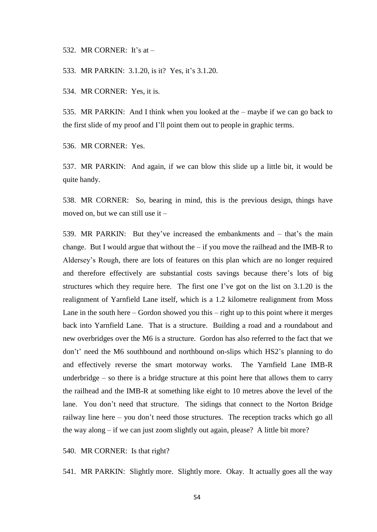## 532. MR CORNER: It's at –

#### 533. MR PARKIN: 3.1.20, is it? Yes, it's 3.1.20.

534. MR CORNER: Yes, it is.

535. MR PARKIN: And I think when you looked at the – maybe if we can go back to the first slide of my proof and I'll point them out to people in graphic terms.

536. MR CORNER: Yes.

537. MR PARKIN: And again, if we can blow this slide up a little bit, it would be quite handy.

538. MR CORNER: So, bearing in mind, this is the previous design, things have moved on, but we can still use it –

539. MR PARKIN: But they've increased the embankments and – that's the main change. But I would argue that without the  $-$  if you move the railhead and the IMB-R to Aldersey's Rough, there are lots of features on this plan which are no longer required and therefore effectively are substantial costs savings because there's lots of big structures which they require here. The first one I've got on the list on 3.1.20 is the realignment of Yarnfield Lane itself, which is a 1.2 kilometre realignment from Moss Lane in the south here  $-$  Gordon showed you this  $-$  right up to this point where it merges back into Yarnfield Lane. That is a structure. Building a road and a roundabout and new overbridges over the M6 is a structure. Gordon has also referred to the fact that we don't' need the M6 southbound and northbound on-slips which HS2's planning to do and effectively reverse the smart motorway works. The Yarnfield Lane IMB-R underbridge – so there is a bridge structure at this point here that allows them to carry the railhead and the IMB-R at something like eight to 10 metres above the level of the lane. You don't need that structure. The sidings that connect to the Norton Bridge railway line here – you don't need those structures. The reception tracks which go all the way along – if we can just zoom slightly out again, please? A little bit more?

540. MR CORNER: Is that right?

541. MR PARKIN: Slightly more. Slightly more. Okay. It actually goes all the way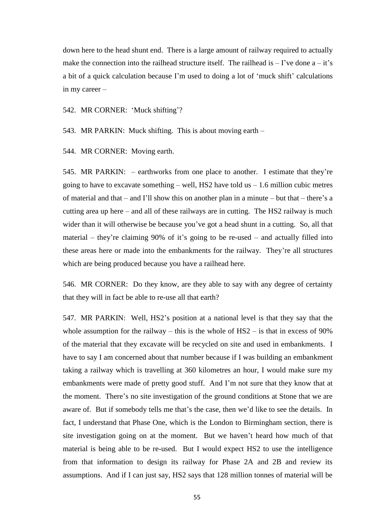down here to the head shunt end. There is a large amount of railway required to actually make the connection into the railhead structure itself. The railhead is  $-$  I've done  $a - it's$ a bit of a quick calculation because I'm used to doing a lot of 'muck shift' calculations in my career –

542. MR CORNER: 'Muck shifting'?

543. MR PARKIN: Muck shifting. This is about moving earth –

544. MR CORNER: Moving earth.

545. MR PARKIN: – earthworks from one place to another. I estimate that they're going to have to excavate something – well, HS2 have told us  $-1.6$  million cubic metres of material and that – and I'll show this on another plan in a minute – but that – there's a cutting area up here – and all of these railways are in cutting. The HS2 railway is much wider than it will otherwise be because you've got a head shunt in a cutting. So, all that material – they're claiming  $90\%$  of it's going to be re-used – and actually filled into these areas here or made into the embankments for the railway. They're all structures which are being produced because you have a railhead here.

546. MR CORNER: Do they know, are they able to say with any degree of certainty that they will in fact be able to re-use all that earth?

547. MR PARKIN: Well, HS2's position at a national level is that they say that the whole assumption for the railway – this is the whole of  $HS2 -$  is that in excess of 90% of the material that they excavate will be recycled on site and used in embankments. I have to say I am concerned about that number because if I was building an embankment taking a railway which is travelling at 360 kilometres an hour, I would make sure my embankments were made of pretty good stuff. And I'm not sure that they know that at the moment. There's no site investigation of the ground conditions at Stone that we are aware of. But if somebody tells me that's the case, then we'd like to see the details. In fact, I understand that Phase One, which is the London to Birmingham section, there is site investigation going on at the moment. But we haven't heard how much of that material is being able to be re-used. But I would expect HS2 to use the intelligence from that information to design its railway for Phase 2A and 2B and review its assumptions. And if I can just say, HS2 says that 128 million tonnes of material will be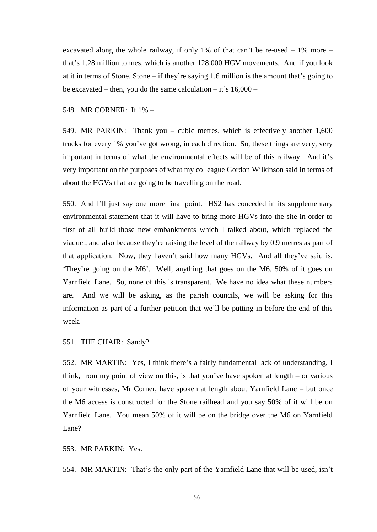excavated along the whole railway, if only 1% of that can't be re-used  $-1\%$  more  $$ that's 1.28 million tonnes, which is another 128,000 HGV movements. And if you look at it in terms of Stone, Stone – if they're saying 1.6 million is the amount that's going to be excavated – then, you do the same calculation – it's  $16,000$  –

## 548. MR CORNER: If 1% –

549. MR PARKIN: Thank you – cubic metres, which is effectively another 1,600 trucks for every 1% you've got wrong, in each direction. So, these things are very, very important in terms of what the environmental effects will be of this railway. And it's very important on the purposes of what my colleague Gordon Wilkinson said in terms of about the HGVs that are going to be travelling on the road.

550. And I'll just say one more final point. HS2 has conceded in its supplementary environmental statement that it will have to bring more HGVs into the site in order to first of all build those new embankments which I talked about, which replaced the viaduct, and also because they're raising the level of the railway by 0.9 metres as part of that application. Now, they haven't said how many HGVs. And all they've said is, 'They're going on the M6'. Well, anything that goes on the M6, 50% of it goes on Yarnfield Lane. So, none of this is transparent. We have no idea what these numbers are. And we will be asking, as the parish councils, we will be asking for this information as part of a further petition that we'll be putting in before the end of this week.

551. THE CHAIR: Sandy?

552. MR MARTIN: Yes, I think there's a fairly fundamental lack of understanding, I think, from my point of view on this, is that you've have spoken at length – or various of your witnesses, Mr Corner, have spoken at length about Yarnfield Lane – but once the M6 access is constructed for the Stone railhead and you say 50% of it will be on Yarnfield Lane. You mean 50% of it will be on the bridge over the M6 on Yarnfield Lane?

553. MR PARKIN: Yes.

554. MR MARTIN: That's the only part of the Yarnfield Lane that will be used, isn't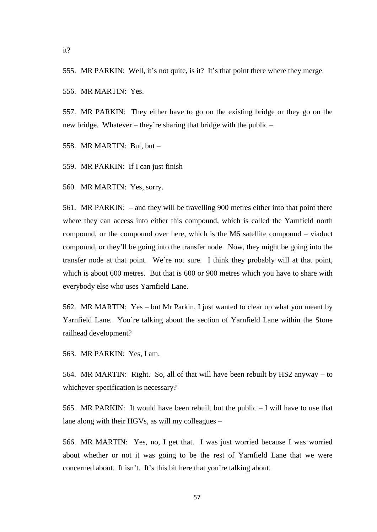555. MR PARKIN: Well, it's not quite, is it? It's that point there where they merge.

556. MR MARTIN: Yes.

557. MR PARKIN: They either have to go on the existing bridge or they go on the new bridge. Whatever – they're sharing that bridge with the public –

558. MR MARTIN: But, but –

559. MR PARKIN: If I can just finish

560. MR MARTIN: Yes, sorry.

561. MR PARKIN: – and they will be travelling 900 metres either into that point there where they can access into either this compound, which is called the Yarnfield north compound, or the compound over here, which is the M6 satellite compound – viaduct compound, or they'll be going into the transfer node. Now, they might be going into the transfer node at that point. We're not sure. I think they probably will at that point, which is about 600 metres. But that is 600 or 900 metres which you have to share with everybody else who uses Yarnfield Lane.

562. MR MARTIN: Yes – but Mr Parkin, I just wanted to clear up what you meant by Yarnfield Lane. You're talking about the section of Yarnfield Lane within the Stone railhead development?

563. MR PARKIN: Yes, I am.

564. MR MARTIN: Right. So, all of that will have been rebuilt by HS2 anyway – to whichever specification is necessary?

565. MR PARKIN: It would have been rebuilt but the public – I will have to use that lane along with their HGVs, as will my colleagues –

566. MR MARTIN: Yes, no, I get that. I was just worried because I was worried about whether or not it was going to be the rest of Yarnfield Lane that we were concerned about. It isn't. It's this bit here that you're talking about.

it?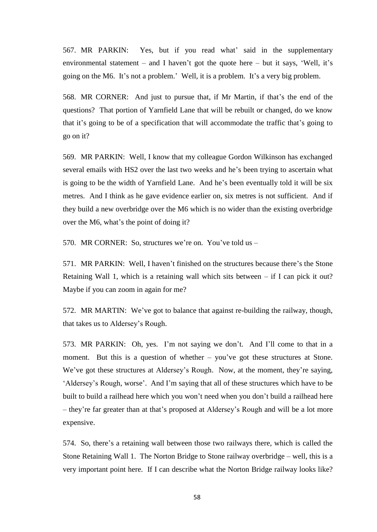567. MR PARKIN: Yes, but if you read what' said in the supplementary environmental statement – and I haven't got the quote here – but it says, 'Well, it's going on the M6. It's not a problem.' Well, it is a problem. It's a very big problem.

568. MR CORNER: And just to pursue that, if Mr Martin, if that's the end of the questions? That portion of Yarnfield Lane that will be rebuilt or changed, do we know that it's going to be of a specification that will accommodate the traffic that's going to go on it?

569. MR PARKIN: Well, I know that my colleague Gordon Wilkinson has exchanged several emails with HS2 over the last two weeks and he's been trying to ascertain what is going to be the width of Yarnfield Lane. And he's been eventually told it will be six metres. And I think as he gave evidence earlier on, six metres is not sufficient. And if they build a new overbridge over the M6 which is no wider than the existing overbridge over the M6, what's the point of doing it?

570. MR CORNER: So, structures we're on. You've told us –

571. MR PARKIN: Well, I haven't finished on the structures because there's the Stone Retaining Wall 1, which is a retaining wall which sits between – if I can pick it out? Maybe if you can zoom in again for me?

572. MR MARTIN: We've got to balance that against re-building the railway, though, that takes us to Aldersey's Rough.

573. MR PARKIN: Oh, yes. I'm not saying we don't. And I'll come to that in a moment. But this is a question of whether – you've got these structures at Stone. We've got these structures at Aldersey's Rough. Now, at the moment, they're saying, 'Aldersey's Rough, worse'. And I'm saying that all of these structures which have to be built to build a railhead here which you won't need when you don't build a railhead here – they're far greater than at that's proposed at Aldersey's Rough and will be a lot more expensive.

574. So, there's a retaining wall between those two railways there, which is called the Stone Retaining Wall 1. The Norton Bridge to Stone railway overbridge – well, this is a very important point here. If I can describe what the Norton Bridge railway looks like?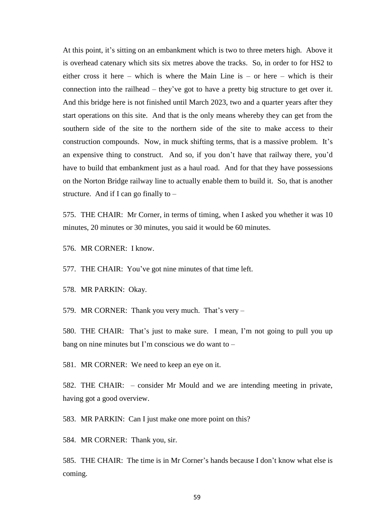At this point, it's sitting on an embankment which is two to three meters high. Above it is overhead catenary which sits six metres above the tracks. So, in order to for HS2 to either cross it here – which is where the Main Line is – or here – which is their connection into the railhead – they've got to have a pretty big structure to get over it. And this bridge here is not finished until March 2023, two and a quarter years after they start operations on this site. And that is the only means whereby they can get from the southern side of the site to the northern side of the site to make access to their construction compounds. Now, in muck shifting terms, that is a massive problem. It's an expensive thing to construct. And so, if you don't have that railway there, you'd have to build that embankment just as a haul road. And for that they have possessions on the Norton Bridge railway line to actually enable them to build it. So, that is another structure. And if I can go finally to  $-$ 

575. THE CHAIR: Mr Corner, in terms of timing, when I asked you whether it was 10 minutes, 20 minutes or 30 minutes, you said it would be 60 minutes.

576. MR CORNER: I know.

577. THE CHAIR: You've got nine minutes of that time left.

578. MR PARKIN: Okay.

579. MR CORNER: Thank you very much. That's very –

580. THE CHAIR: That's just to make sure. I mean, I'm not going to pull you up bang on nine minutes but I'm conscious we do want to –

581. MR CORNER: We need to keep an eye on it.

582. THE CHAIR: – consider Mr Mould and we are intending meeting in private, having got a good overview.

583. MR PARKIN: Can I just make one more point on this?

584. MR CORNER: Thank you, sir.

585. THE CHAIR: The time is in Mr Corner's hands because I don't know what else is coming.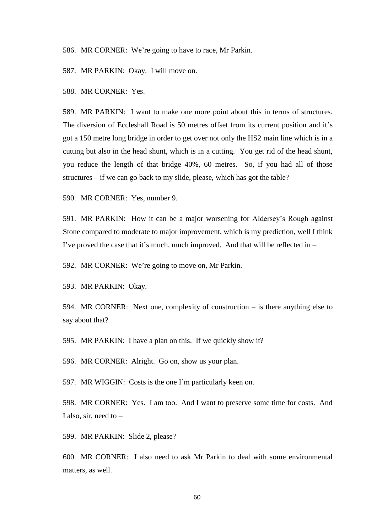586. MR CORNER: We're going to have to race, Mr Parkin.

587. MR PARKIN: Okay. I will move on.

588. MR CORNER: Yes.

589. MR PARKIN: I want to make one more point about this in terms of structures. The diversion of Eccleshall Road is 50 metres offset from its current position and it's got a 150 metre long bridge in order to get over not only the HS2 main line which is in a cutting but also in the head shunt, which is in a cutting. You get rid of the head shunt, you reduce the length of that bridge 40%, 60 metres. So, if you had all of those structures – if we can go back to my slide, please, which has got the table?

590. MR CORNER: Yes, number 9.

591. MR PARKIN: How it can be a major worsening for Aldersey's Rough against Stone compared to moderate to major improvement, which is my prediction, well I think I've proved the case that it's much, much improved. And that will be reflected in –

592. MR CORNER: We're going to move on, Mr Parkin.

593. MR PARKIN: Okay.

594. MR CORNER: Next one, complexity of construction – is there anything else to say about that?

595. MR PARKIN: I have a plan on this. If we quickly show it?

596. MR CORNER: Alright. Go on, show us your plan.

597. MR WIGGIN: Costs is the one I'm particularly keen on.

598. MR CORNER: Yes. I am too. And I want to preserve some time for costs. And I also, sir, need to  $-$ 

599. MR PARKIN: Slide 2, please?

600. MR CORNER: I also need to ask Mr Parkin to deal with some environmental matters, as well.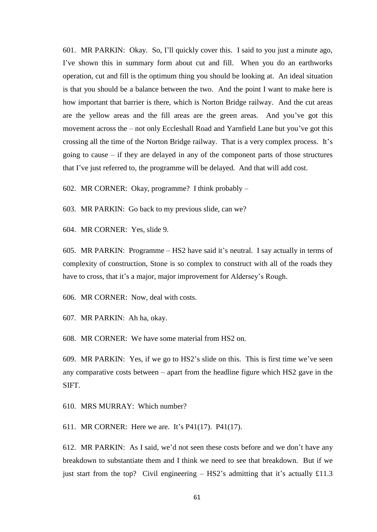601. MR PARKIN: Okay. So, I'll quickly cover this. I said to you just a minute ago, I've shown this in summary form about cut and fill. When you do an earthworks operation, cut and fill is the optimum thing you should be looking at. An ideal situation is that you should be a balance between the two. And the point I want to make here is how important that barrier is there, which is Norton Bridge railway. And the cut areas are the yellow areas and the fill areas are the green areas. And you've got this movement across the – not only Eccleshall Road and Yarnfield Lane but you've got this crossing all the time of the Norton Bridge railway. That is a very complex process. It's going to cause – if they are delayed in any of the component parts of those structures that I've just referred to, the programme will be delayed. And that will add cost.

602. MR CORNER: Okay, programme? I think probably –

603. MR PARKIN: Go back to my previous slide, can we?

604. MR CORNER: Yes, slide 9.

605. MR PARKIN: Programme – HS2 have said it's neutral. I say actually in terms of complexity of construction, Stone is so complex to construct with all of the roads they have to cross, that it's a major, major improvement for Aldersey's Rough.

606. MR CORNER: Now, deal with costs.

607. MR PARKIN: Ah ha, okay.

608. MR CORNER: We have some material from HS2 on.

609. MR PARKIN: Yes, if we go to HS2's slide on this. This is first time we've seen any comparative costs between – apart from the headline figure which HS2 gave in the SIFT.

610. MRS MURRAY: Which number?

611. MR CORNER: Here we are. It's P41(17). P41(17).

612. MR PARKIN: As I said, we'd not seen these costs before and we don't have any breakdown to substantiate them and I think we need to see that breakdown. But if we just start from the top? Civil engineering  $-$  HS2's admitting that it's actually £11.3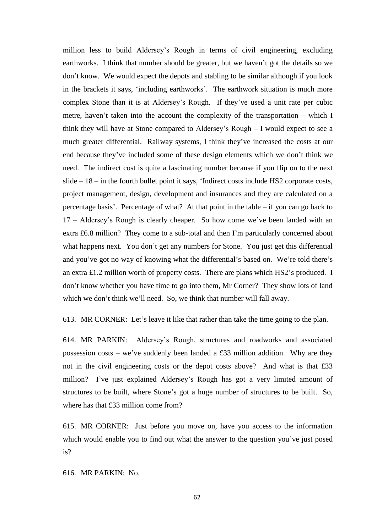million less to build Aldersey's Rough in terms of civil engineering, excluding earthworks. I think that number should be greater, but we haven't got the details so we don't know. We would expect the depots and stabling to be similar although if you look in the brackets it says, 'including earthworks'. The earthwork situation is much more complex Stone than it is at Aldersey's Rough. If they've used a unit rate per cubic metre, haven't taken into the account the complexity of the transportation – which I think they will have at Stone compared to Aldersey's Rough – I would expect to see a much greater differential. Railway systems, I think they've increased the costs at our end because they've included some of these design elements which we don't think we need. The indirect cost is quite a fascinating number because if you flip on to the next slide – 18 – in the fourth bullet point it says, 'Indirect costs include HS2 corporate costs, project management, design, development and insurances and they are calculated on a percentage basis'. Percentage of what? At that point in the table – if you can go back to 17 – Aldersey's Rough is clearly cheaper. So how come we've been landed with an extra £6.8 million? They come to a sub-total and then I'm particularly concerned about what happens next. You don't get any numbers for Stone. You just get this differential and you've got no way of knowing what the differential's based on. We're told there's an extra £1.2 million worth of property costs. There are plans which HS2's produced. I don't know whether you have time to go into them, Mr Corner? They show lots of land which we don't think we'll need. So, we think that number will fall away.

613. MR CORNER: Let's leave it like that rather than take the time going to the plan.

614. MR PARKIN: Aldersey's Rough, structures and roadworks and associated possession costs – we've suddenly been landed a £33 million addition. Why are they not in the civil engineering costs or the depot costs above? And what is that £33 million? I've just explained Aldersey's Rough has got a very limited amount of structures to be built, where Stone's got a huge number of structures to be built. So, where has that £33 million come from?

615. MR CORNER: Just before you move on, have you access to the information which would enable you to find out what the answer to the question you've just posed is?

616. MR PARKIN: No.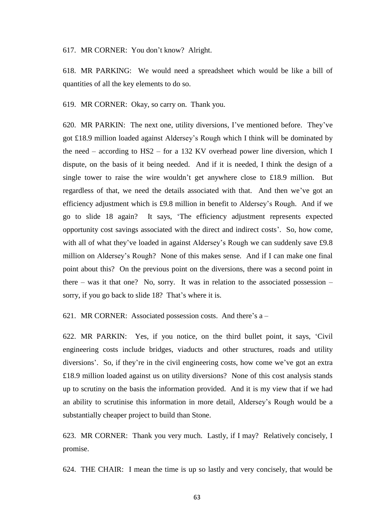617. MR CORNER: You don't know? Alright.

618. MR PARKING: We would need a spreadsheet which would be like a bill of quantities of all the key elements to do so.

619. MR CORNER: Okay, so carry on. Thank you.

620. MR PARKIN: The next one, utility diversions, I've mentioned before. They've got £18.9 million loaded against Aldersey's Rough which I think will be dominated by the need – according to HS2 – for a 132 KV overhead power line diversion, which I dispute, on the basis of it being needed. And if it is needed, I think the design of a single tower to raise the wire wouldn't get anywhere close to £18.9 million. But regardless of that, we need the details associated with that. And then we've got an efficiency adjustment which is £9.8 million in benefit to Aldersey's Rough. And if we go to slide 18 again? It says, 'The efficiency adjustment represents expected opportunity cost savings associated with the direct and indirect costs'. So, how come, with all of what they've loaded in against Aldersey's Rough we can suddenly save £9.8 million on Aldersey's Rough? None of this makes sense. And if I can make one final point about this? On the previous point on the diversions, there was a second point in there – was it that one? No, sorry. It was in relation to the associated possession – sorry, if you go back to slide 18? That's where it is.

621. MR CORNER: Associated possession costs. And there's  $a -$ 

622. MR PARKIN: Yes, if you notice, on the third bullet point, it says, 'Civil engineering costs include bridges, viaducts and other structures, roads and utility diversions'. So, if they're in the civil engineering costs, how come we've got an extra £18.9 million loaded against us on utility diversions? None of this cost analysis stands up to scrutiny on the basis the information provided. And it is my view that if we had an ability to scrutinise this information in more detail, Aldersey's Rough would be a substantially cheaper project to build than Stone.

623. MR CORNER: Thank you very much. Lastly, if I may? Relatively concisely, I promise.

624. THE CHAIR: I mean the time is up so lastly and very concisely, that would be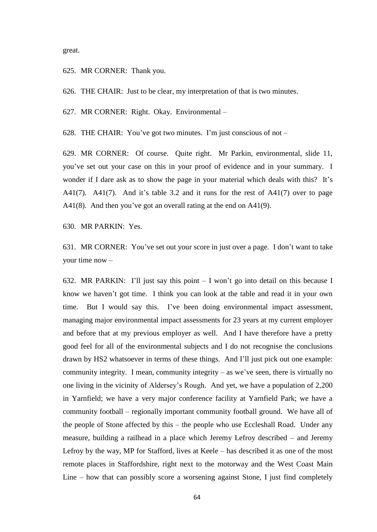great.

625. MR CORNER: Thank you.

626. THE CHAIR: Just to be clear, my interpretation of that is two minutes.

627. MR CORNER: Right. Okay. Environmental –

628. THE CHAIR: You've got two minutes. I'm just conscious of not –

629. MR CORNER: Of course. Quite right. Mr Parkin, environmental, slide 11, you've set out your case on this in your proof of evidence and in your summary. I wonder if I dare ask as to show the page in your material which deals with this? It's A41(7). A41(7). And it's table 3.2 and it runs for the rest of A41(7) over to page A41(8). And then you've got an overall rating at the end on A41(9).

630. MR PARKIN: Yes.

631. MR CORNER: You've set out your score in just over a page. I don't want to take your time now –

632. MR PARKIN: I'll just say this point – I won't go into detail on this because I know we haven't got time. I think you can look at the table and read it in your own time. But I would say this. I've been doing environmental impact assessment, managing major environmental impact assessments for 23 years at my current employer and before that at my previous employer as well. And I have therefore have a pretty good feel for all of the environmental subjects and I do not recognise the conclusions drawn by HS2 whatsoever in terms of these things. And I'll just pick out one example: community integrity. I mean, community integrity – as we've seen, there is virtually no one living in the vicinity of Aldersey's Rough. And yet, we have a population of 2,200 in Yarnfield; we have a very major conference facility at Yarnfield Park; we have a community football – regionally important community football ground. We have all of the people of Stone affected by this – the people who use Eccleshall Road. Under any measure, building a railhead in a place which Jeremy Lefroy described – and Jeremy Lefroy by the way, MP for Stafford, lives at Keele – has described it as one of the most remote places in Staffordshire, right next to the motorway and the West Coast Main Line – how that can possibly score a worsening against Stone, I just find completely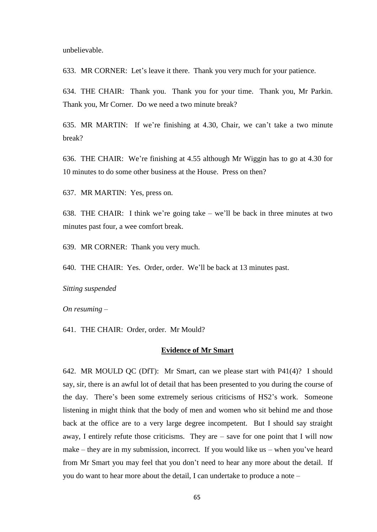unbelievable.

633. MR CORNER: Let's leave it there. Thank you very much for your patience.

634. THE CHAIR: Thank you. Thank you for your time. Thank you, Mr Parkin. Thank you, Mr Corner. Do we need a two minute break?

635. MR MARTIN: If we're finishing at 4.30, Chair, we can't take a two minute break?

636. THE CHAIR: We're finishing at 4.55 although Mr Wiggin has to go at 4.30 for 10 minutes to do some other business at the House. Press on then?

637. MR MARTIN: Yes, press on.

638. THE CHAIR: I think we're going take – we'll be back in three minutes at two minutes past four, a wee comfort break.

639. MR CORNER: Thank you very much.

640. THE CHAIR: Yes. Order, order. We'll be back at 13 minutes past.

*Sitting suspended*

*On resuming –*

641. THE CHAIR: Order, order. Mr Mould?

# **Evidence of Mr Smart**

642. MR MOULD QC (DfT): Mr Smart, can we please start with P41(4)? I should say, sir, there is an awful lot of detail that has been presented to you during the course of the day. There's been some extremely serious criticisms of HS2's work. Someone listening in might think that the body of men and women who sit behind me and those back at the office are to a very large degree incompetent. But I should say straight away, I entirely refute those criticisms. They are – save for one point that I will now make – they are in my submission, incorrect. If you would like us – when you've heard from Mr Smart you may feel that you don't need to hear any more about the detail. If you do want to hear more about the detail, I can undertake to produce a note –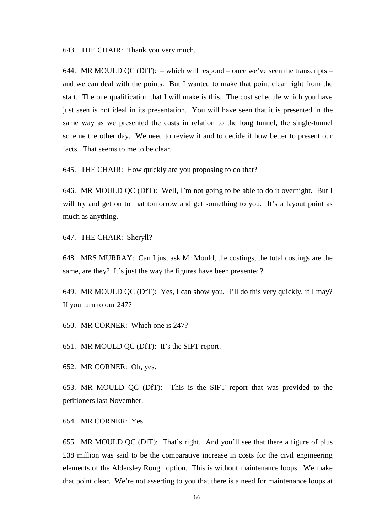643. THE CHAIR: Thank you very much.

644. MR MOULD QC (DfT): – which will respond – once we've seen the transcripts – and we can deal with the points. But I wanted to make that point clear right from the start. The one qualification that I will make is this. The cost schedule which you have just seen is not ideal in its presentation. You will have seen that it is presented in the same way as we presented the costs in relation to the long tunnel, the single-tunnel scheme the other day. We need to review it and to decide if how better to present our facts. That seems to me to be clear.

645. THE CHAIR: How quickly are you proposing to do that?

646. MR MOULD QC (DfT): Well, I'm not going to be able to do it overnight. But I will try and get on to that tomorrow and get something to you. It's a layout point as much as anything.

647. THE CHAIR: Sheryll?

648. MRS MURRAY: Can I just ask Mr Mould, the costings, the total costings are the same, are they? It's just the way the figures have been presented?

649. MR MOULD QC (DfT): Yes, I can show you. I'll do this very quickly, if I may? If you turn to our 247?

650. MR CORNER: Which one is 247?

651. MR MOULD QC (DfT): It's the SIFT report.

652. MR CORNER: Oh, yes.

653. MR MOULD QC (DfT): This is the SIFT report that was provided to the petitioners last November.

654. MR CORNER: Yes.

655. MR MOULD QC (DfT): That's right. And you'll see that there a figure of plus £38 million was said to be the comparative increase in costs for the civil engineering elements of the Aldersley Rough option. This is without maintenance loops. We make that point clear. We're not asserting to you that there is a need for maintenance loops at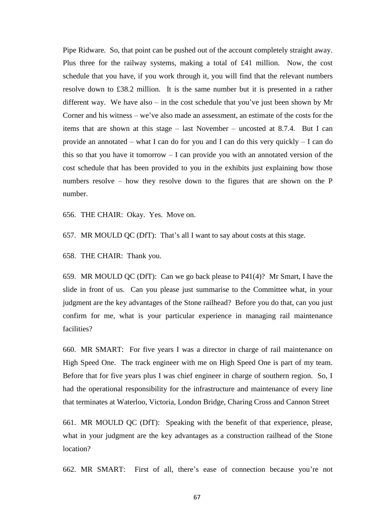Pipe Ridware. So, that point can be pushed out of the account completely straight away. Plus three for the railway systems, making a total of £41 million. Now, the cost schedule that you have, if you work through it, you will find that the relevant numbers resolve down to £38.2 million. It is the same number but it is presented in a rather different way. We have also – in the cost schedule that you've just been shown by Mr Corner and his witness – we've also made an assessment, an estimate of the costs for the items that are shown at this stage – last November – uncosted at 8.7.4. But I can provide an annotated – what I can do for you and I can do this very quickly – I can do this so that you have it tomorrow – I can provide you with an annotated version of the cost schedule that has been provided to you in the exhibits just explaining how those numbers resolve – how they resolve down to the figures that are shown on the P number.

656. THE CHAIR: Okay. Yes. Move on.

657. MR MOULD QC (DfT): That's all I want to say about costs at this stage.

658. THE CHAIR: Thank you.

659. MR MOULD QC (DfT): Can we go back please to P41(4)? Mr Smart, I have the slide in front of us. Can you please just summarise to the Committee what, in your judgment are the key advantages of the Stone railhead? Before you do that, can you just confirm for me, what is your particular experience in managing rail maintenance facilities?

660. MR SMART: For five years I was a director in charge of rail maintenance on High Speed One. The track engineer with me on High Speed One is part of my team. Before that for five years plus I was chief engineer in charge of southern region. So, I had the operational responsibility for the infrastructure and maintenance of every line that terminates at Waterloo, Victoria, London Bridge, Charing Cross and Cannon Street

661. MR MOULD QC (DfT): Speaking with the benefit of that experience, please, what in your judgment are the key advantages as a construction railhead of the Stone location?

662. MR SMART: First of all, there's ease of connection because you're not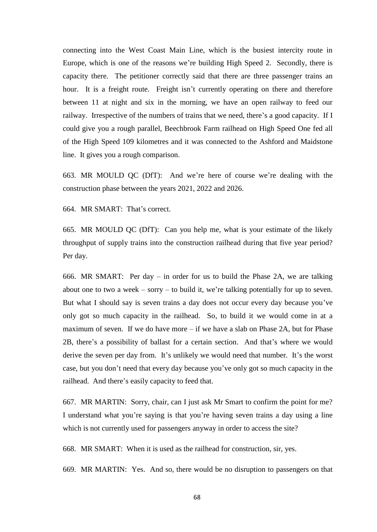connecting into the West Coast Main Line, which is the busiest intercity route in Europe, which is one of the reasons we're building High Speed 2. Secondly, there is capacity there. The petitioner correctly said that there are three passenger trains an hour. It is a freight route. Freight isn't currently operating on there and therefore between 11 at night and six in the morning, we have an open railway to feed our railway. Irrespective of the numbers of trains that we need, there's a good capacity. If I could give you a rough parallel, Beechbrook Farm railhead on High Speed One fed all of the High Speed 109 kilometres and it was connected to the Ashford and Maidstone line. It gives you a rough comparison.

663. MR MOULD QC (DfT): And we're here of course we're dealing with the construction phase between the years 2021, 2022 and 2026.

664. MR SMART: That's correct.

665. MR MOULD QC (DfT): Can you help me, what is your estimate of the likely throughput of supply trains into the construction railhead during that five year period? Per day.

666. MR SMART: Per day – in order for us to build the Phase 2A, we are talking about one to two a week – sorry – to build it, we're talking potentially for up to seven. But what I should say is seven trains a day does not occur every day because you've only got so much capacity in the railhead. So, to build it we would come in at a maximum of seven. If we do have more – if we have a slab on Phase 2A, but for Phase 2B, there's a possibility of ballast for a certain section. And that's where we would derive the seven per day from. It's unlikely we would need that number. It's the worst case, but you don't need that every day because you've only got so much capacity in the railhead. And there's easily capacity to feed that.

667. MR MARTIN: Sorry, chair, can I just ask Mr Smart to confirm the point for me? I understand what you're saying is that you're having seven trains a day using a line which is not currently used for passengers anyway in order to access the site?

668. MR SMART: When it is used as the railhead for construction, sir, yes.

669. MR MARTIN: Yes. And so, there would be no disruption to passengers on that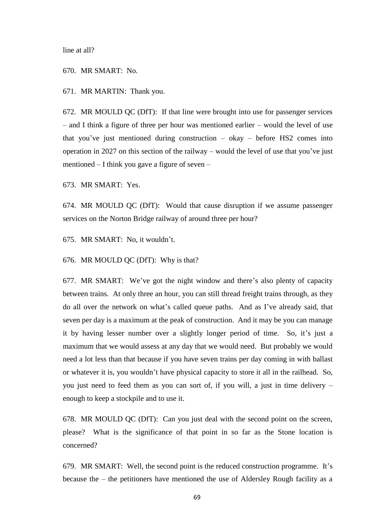line at all?

670. MR SMART: No.

671. MR MARTIN: Thank you.

672. MR MOULD QC (DfT): If that line were brought into use for passenger services – and I think a figure of three per hour was mentioned earlier – would the level of use that you've just mentioned during construction  $-$  okay  $-$  before HS2 comes into operation in 2027 on this section of the railway – would the level of use that you've just mentioned – I think you gave a figure of seven –

673. MR SMART: Yes.

674. MR MOULD QC (DfT): Would that cause disruption if we assume passenger services on the Norton Bridge railway of around three per hour?

675. MR SMART: No, it wouldn't.

676. MR MOULD QC (DfT): Why is that?

677. MR SMART: We've got the night window and there's also plenty of capacity between trains. At only three an hour, you can still thread freight trains through, as they do all over the network on what's called queue paths. And as I've already said, that seven per day is a maximum at the peak of construction. And it may be you can manage it by having lesser number over a slightly longer period of time. So, it's just a maximum that we would assess at any day that we would need. But probably we would need a lot less than that because if you have seven trains per day coming in with ballast or whatever it is, you wouldn't have physical capacity to store it all in the railhead. So, you just need to feed them as you can sort of, if you will, a just in time delivery – enough to keep a stockpile and to use it.

678. MR MOULD QC (DfT): Can you just deal with the second point on the screen, please? What is the significance of that point in so far as the Stone location is concerned?

679. MR SMART: Well, the second point is the reduced construction programme. It's because the – the petitioners have mentioned the use of Aldersley Rough facility as a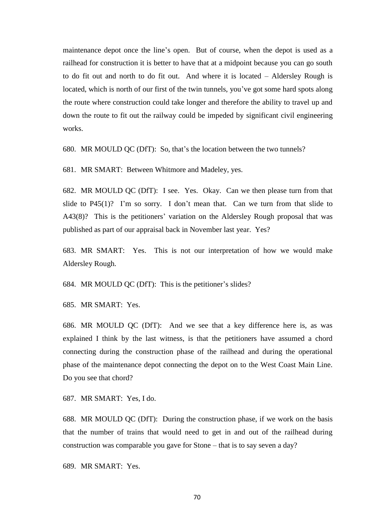maintenance depot once the line's open. But of course, when the depot is used as a railhead for construction it is better to have that at a midpoint because you can go south to do fit out and north to do fit out. And where it is located – Aldersley Rough is located, which is north of our first of the twin tunnels, you've got some hard spots along the route where construction could take longer and therefore the ability to travel up and down the route to fit out the railway could be impeded by significant civil engineering works.

680. MR MOULD QC (DfT): So, that's the location between the two tunnels?

681. MR SMART: Between Whitmore and Madeley, yes.

682. MR MOULD QC (DfT): I see. Yes. Okay. Can we then please turn from that slide to  $P45(1)$ ? I'm so sorry. I don't mean that. Can we turn from that slide to A43(8)? This is the petitioners' variation on the Aldersley Rough proposal that was published as part of our appraisal back in November last year. Yes?

683. MR SMART: Yes. This is not our interpretation of how we would make Aldersley Rough.

684. MR MOULD QC (DfT): This is the petitioner's slides?

685. MR SMART: Yes.

686. MR MOULD QC (DfT): And we see that a key difference here is, as was explained I think by the last witness, is that the petitioners have assumed a chord connecting during the construction phase of the railhead and during the operational phase of the maintenance depot connecting the depot on to the West Coast Main Line. Do you see that chord?

687. MR SMART: Yes, I do.

688. MR MOULD QC (DfT): During the construction phase, if we work on the basis that the number of trains that would need to get in and out of the railhead during construction was comparable you gave for Stone – that is to say seven a day?

689. MR SMART: Yes.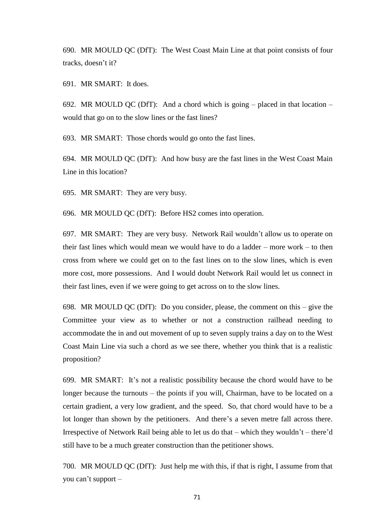690. MR MOULD QC (DfT): The West Coast Main Line at that point consists of four tracks, doesn't it?

691. MR SMART: It does.

692. MR MOULD QC (DfT): And a chord which is going  $-$  placed in that location  $$ would that go on to the slow lines or the fast lines?

693. MR SMART: Those chords would go onto the fast lines.

694. MR MOULD QC (DfT): And how busy are the fast lines in the West Coast Main Line in this location?

695. MR SMART: They are very busy.

696. MR MOULD QC (DfT): Before HS2 comes into operation.

697. MR SMART: They are very busy. Network Rail wouldn't allow us to operate on their fast lines which would mean we would have to do a ladder – more work – to then cross from where we could get on to the fast lines on to the slow lines, which is even more cost, more possessions. And I would doubt Network Rail would let us connect in their fast lines, even if we were going to get across on to the slow lines.

698. MR MOULD QC (DfT): Do you consider, please, the comment on this – give the Committee your view as to whether or not a construction railhead needing to accommodate the in and out movement of up to seven supply trains a day on to the West Coast Main Line via such a chord as we see there, whether you think that is a realistic proposition?

699. MR SMART: It's not a realistic possibility because the chord would have to be longer because the turnouts – the points if you will, Chairman, have to be located on a certain gradient, a very low gradient, and the speed. So, that chord would have to be a lot longer than shown by the petitioners. And there's a seven metre fall across there. Irrespective of Network Rail being able to let us do that – which they wouldn't – there'd still have to be a much greater construction than the petitioner shows.

700. MR MOULD QC (DfT): Just help me with this, if that is right, I assume from that you can't support –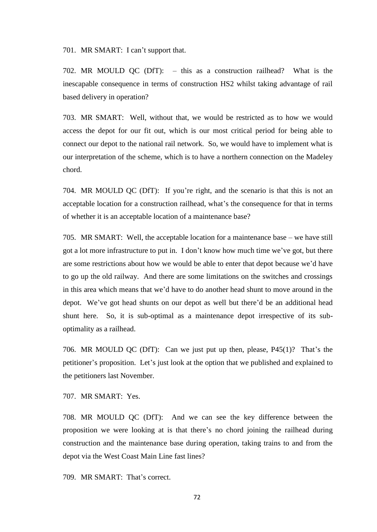701. MR SMART: I can't support that.

702. MR MOULD QC (DfT): – this as a construction railhead? What is the inescapable consequence in terms of construction HS2 whilst taking advantage of rail based delivery in operation?

703. MR SMART: Well, without that, we would be restricted as to how we would access the depot for our fit out, which is our most critical period for being able to connect our depot to the national rail network. So, we would have to implement what is our interpretation of the scheme, which is to have a northern connection on the Madeley chord.

704. MR MOULD QC (DfT): If you're right, and the scenario is that this is not an acceptable location for a construction railhead, what's the consequence for that in terms of whether it is an acceptable location of a maintenance base?

705. MR SMART: Well, the acceptable location for a maintenance base – we have still got a lot more infrastructure to put in. I don't know how much time we've got, but there are some restrictions about how we would be able to enter that depot because we'd have to go up the old railway. And there are some limitations on the switches and crossings in this area which means that we'd have to do another head shunt to move around in the depot. We've got head shunts on our depot as well but there'd be an additional head shunt here. So, it is sub-optimal as a maintenance depot irrespective of its suboptimality as a railhead.

706. MR MOULD QC (DfT): Can we just put up then, please, P45(1)? That's the petitioner's proposition. Let's just look at the option that we published and explained to the petitioners last November.

707. MR SMART: Yes.

708. MR MOULD QC (DfT): And we can see the key difference between the proposition we were looking at is that there's no chord joining the railhead during construction and the maintenance base during operation, taking trains to and from the depot via the West Coast Main Line fast lines?

709. MR SMART: That's correct.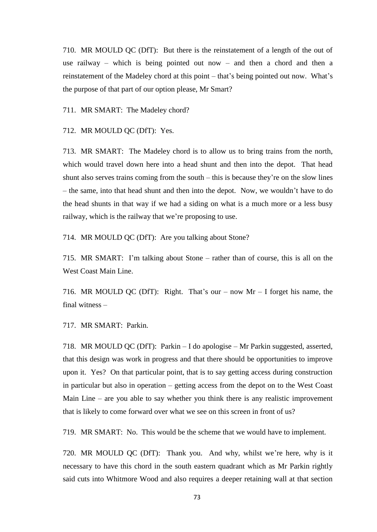710. MR MOULD QC (DfT): But there is the reinstatement of a length of the out of use railway – which is being pointed out now – and then a chord and then a reinstatement of the Madeley chord at this point – that's being pointed out now. What's the purpose of that part of our option please, Mr Smart?

711. MR SMART: The Madeley chord?

712. MR MOULD QC (DfT): Yes.

713. MR SMART: The Madeley chord is to allow us to bring trains from the north, which would travel down here into a head shunt and then into the depot. That head shunt also serves trains coming from the south – this is because they're on the slow lines – the same, into that head shunt and then into the depot. Now, we wouldn't have to do the head shunts in that way if we had a siding on what is a much more or a less busy railway, which is the railway that we're proposing to use.

714. MR MOULD QC (DfT): Are you talking about Stone?

715. MR SMART: I'm talking about Stone – rather than of course, this is all on the West Coast Main Line.

716. MR MOULD QC (DfT): Right. That's our – now Mr – I forget his name, the final witness –

717. MR SMART: Parkin.

718. MR MOULD QC (DfT): Parkin – I do apologise – Mr Parkin suggested, asserted, that this design was work in progress and that there should be opportunities to improve upon it. Yes? On that particular point, that is to say getting access during construction in particular but also in operation – getting access from the depot on to the West Coast Main Line – are you able to say whether you think there is any realistic improvement that is likely to come forward over what we see on this screen in front of us?

719. MR SMART: No. This would be the scheme that we would have to implement.

720. MR MOULD QC (DfT): Thank you. And why, whilst we're here, why is it necessary to have this chord in the south eastern quadrant which as Mr Parkin rightly said cuts into Whitmore Wood and also requires a deeper retaining wall at that section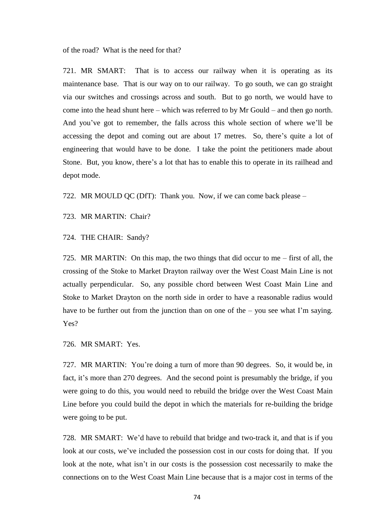of the road? What is the need for that?

721. MR SMART: That is to access our railway when it is operating as its maintenance base. That is our way on to our railway. To go south, we can go straight via our switches and crossings across and south. But to go north, we would have to come into the head shunt here – which was referred to by Mr Gould – and then go north. And you've got to remember, the falls across this whole section of where we'll be accessing the depot and coming out are about 17 metres. So, there's quite a lot of engineering that would have to be done. I take the point the petitioners made about Stone. But, you know, there's a lot that has to enable this to operate in its railhead and depot mode.

722. MR MOULD QC (DfT): Thank you. Now, if we can come back please –

723. MR MARTIN: Chair?

724. THE CHAIR: Sandy?

725. MR MARTIN: On this map, the two things that did occur to me – first of all, the crossing of the Stoke to Market Drayton railway over the West Coast Main Line is not actually perpendicular. So, any possible chord between West Coast Main Line and Stoke to Market Drayton on the north side in order to have a reasonable radius would have to be further out from the junction than on one of the – you see what I'm saying. Yes?

726. MR SMART: Yes.

727. MR MARTIN: You're doing a turn of more than 90 degrees. So, it would be, in fact, it's more than 270 degrees. And the second point is presumably the bridge, if you were going to do this, you would need to rebuild the bridge over the West Coast Main Line before you could build the depot in which the materials for re-building the bridge were going to be put.

728. MR SMART: We'd have to rebuild that bridge and two-track it, and that is if you look at our costs, we've included the possession cost in our costs for doing that. If you look at the note, what isn't in our costs is the possession cost necessarily to make the connections on to the West Coast Main Line because that is a major cost in terms of the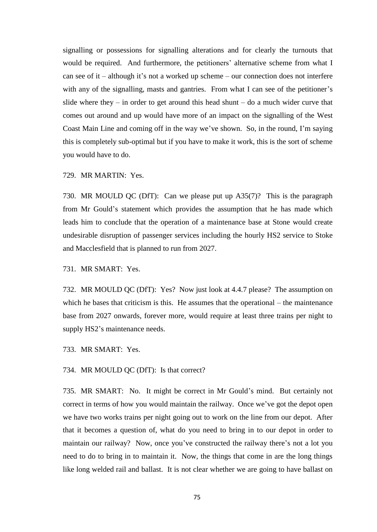signalling or possessions for signalling alterations and for clearly the turnouts that would be required. And furthermore, the petitioners' alternative scheme from what I can see of it – although it's not a worked up scheme – our connection does not interfere with any of the signalling, masts and gantries. From what I can see of the petitioner's slide where they – in order to get around this head shunt – do a much wider curve that comes out around and up would have more of an impact on the signalling of the West Coast Main Line and coming off in the way we've shown. So, in the round, I'm saying this is completely sub-optimal but if you have to make it work, this is the sort of scheme you would have to do.

729. MR MARTIN: Yes.

730. MR MOULD QC (DfT): Can we please put up A35(7)? This is the paragraph from Mr Gould's statement which provides the assumption that he has made which leads him to conclude that the operation of a maintenance base at Stone would create undesirable disruption of passenger services including the hourly HS2 service to Stoke and Macclesfield that is planned to run from 2027.

731. MR SMART: Yes.

732. MR MOULD QC (DfT): Yes? Now just look at 4.4.7 please? The assumption on which he bases that criticism is this. He assumes that the operational – the maintenance base from 2027 onwards, forever more, would require at least three trains per night to supply HS2's maintenance needs.

733. MR SMART: Yes.

734. MR MOULD QC (DfT): Is that correct?

735. MR SMART: No. It might be correct in Mr Gould's mind. But certainly not correct in terms of how you would maintain the railway. Once we've got the depot open we have two works trains per night going out to work on the line from our depot. After that it becomes a question of, what do you need to bring in to our depot in order to maintain our railway? Now, once you've constructed the railway there's not a lot you need to do to bring in to maintain it. Now, the things that come in are the long things like long welded rail and ballast. It is not clear whether we are going to have ballast on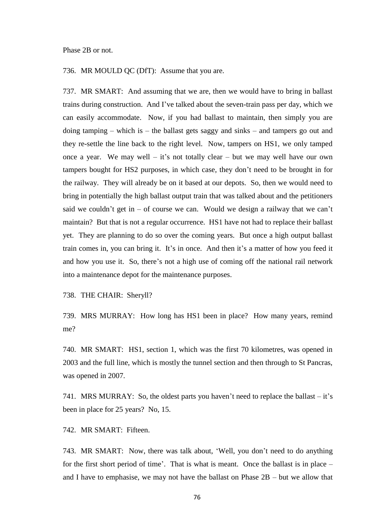## Phase 2B or not.

736. MR MOULD QC (DfT): Assume that you are.

737. MR SMART: And assuming that we are, then we would have to bring in ballast trains during construction. And I've talked about the seven-train pass per day, which we can easily accommodate. Now, if you had ballast to maintain, then simply you are doing tamping – which is – the ballast gets saggy and sinks – and tampers go out and they re-settle the line back to the right level. Now, tampers on HS1, we only tamped once a year. We may well – it's not totally clear – but we may well have our own tampers bought for HS2 purposes, in which case, they don't need to be brought in for the railway. They will already be on it based at our depots. So, then we would need to bring in potentially the high ballast output train that was talked about and the petitioners said we couldn't get in  $-$  of course we can. Would we design a railway that we can't maintain? But that is not a regular occurrence. HS1 have not had to replace their ballast yet. They are planning to do so over the coming years. But once a high output ballast train comes in, you can bring it. It's in once. And then it's a matter of how you feed it and how you use it. So, there's not a high use of coming off the national rail network into a maintenance depot for the maintenance purposes.

738. THE CHAIR: Sheryll?

739. MRS MURRAY: How long has HS1 been in place? How many years, remind me?

740. MR SMART: HS1, section 1, which was the first 70 kilometres, was opened in 2003 and the full line, which is mostly the tunnel section and then through to St Pancras, was opened in 2007.

741. MRS MURRAY: So, the oldest parts you haven't need to replace the ballast – it's been in place for 25 years? No, 15.

742. MR SMART: Fifteen.

743. MR SMART: Now, there was talk about, 'Well, you don't need to do anything for the first short period of time'. That is what is meant. Once the ballast is in place – and I have to emphasise, we may not have the ballast on Phase 2B – but we allow that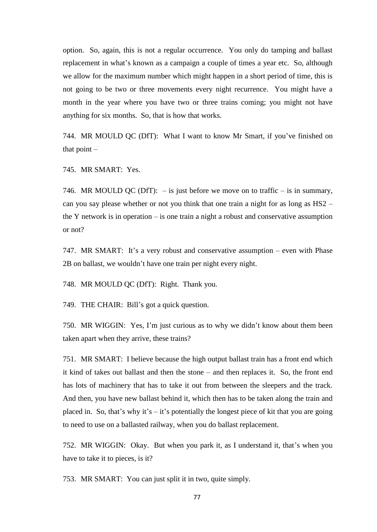option. So, again, this is not a regular occurrence. You only do tamping and ballast replacement in what's known as a campaign a couple of times a year etc. So, although we allow for the maximum number which might happen in a short period of time, this is not going to be two or three movements every night recurrence. You might have a month in the year where you have two or three trains coming; you might not have anything for six months. So, that is how that works.

744. MR MOULD QC (DfT): What I want to know Mr Smart, if you've finished on that point –

745. MR SMART: Yes.

746. MR MOULD QC (DfT):  $-$  is just before we move on to traffic  $-$  is in summary, can you say please whether or not you think that one train a night for as long as HS2 – the Y network is in operation – is one train a night a robust and conservative assumption or not?

747. MR SMART: It's a very robust and conservative assumption – even with Phase 2B on ballast, we wouldn't have one train per night every night.

748. MR MOULD QC (DfT): Right. Thank you.

749. THE CHAIR: Bill's got a quick question.

750. MR WIGGIN: Yes, I'm just curious as to why we didn't know about them been taken apart when they arrive, these trains?

751. MR SMART: I believe because the high output ballast train has a front end which it kind of takes out ballast and then the stone – and then replaces it. So, the front end has lots of machinery that has to take it out from between the sleepers and the track. And then, you have new ballast behind it, which then has to be taken along the train and placed in. So, that's why it's – it's potentially the longest piece of kit that you are going to need to use on a ballasted railway, when you do ballast replacement.

752. MR WIGGIN: Okay. But when you park it, as I understand it, that's when you have to take it to pieces, is it?

753. MR SMART: You can just split it in two, quite simply.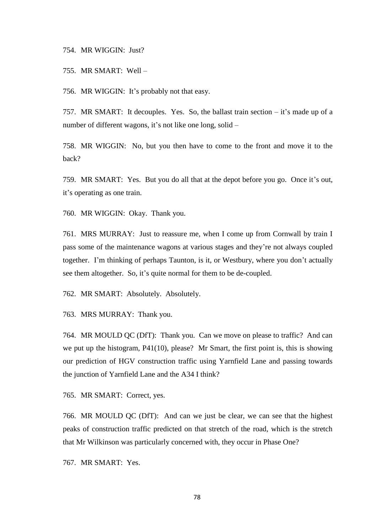754. MR WIGGIN: Just?

755. MR SMART: Well –

756. MR WIGGIN: It's probably not that easy.

757. MR SMART: It decouples. Yes. So, the ballast train section – it's made up of a number of different wagons, it's not like one long, solid –

758. MR WIGGIN: No, but you then have to come to the front and move it to the back?

759. MR SMART: Yes. But you do all that at the depot before you go. Once it's out, it's operating as one train.

760. MR WIGGIN: Okay. Thank you.

761. MRS MURRAY: Just to reassure me, when I come up from Cornwall by train I pass some of the maintenance wagons at various stages and they're not always coupled together. I'm thinking of perhaps Taunton, is it, or Westbury, where you don't actually see them altogether. So, it's quite normal for them to be de-coupled.

762. MR SMART: Absolutely. Absolutely.

763. MRS MURRAY: Thank you.

764. MR MOULD QC (DfT): Thank you. Can we move on please to traffic? And can we put up the histogram, P41(10), please? Mr Smart, the first point is, this is showing our prediction of HGV construction traffic using Yarnfield Lane and passing towards the junction of Yarnfield Lane and the A34 I think?

765. MR SMART: Correct, yes.

766. MR MOULD QC (DfT): And can we just be clear, we can see that the highest peaks of construction traffic predicted on that stretch of the road, which is the stretch that Mr Wilkinson was particularly concerned with, they occur in Phase One?

767. MR SMART: Yes.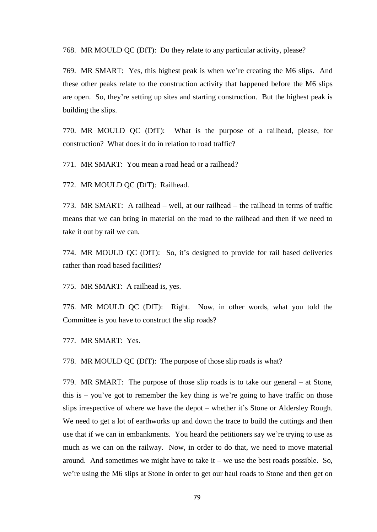768. MR MOULD QC (DfT): Do they relate to any particular activity, please?

769. MR SMART: Yes, this highest peak is when we're creating the M6 slips. And these other peaks relate to the construction activity that happened before the M6 slips are open. So, they're setting up sites and starting construction. But the highest peak is building the slips.

770. MR MOULD QC (DfT): What is the purpose of a railhead, please, for construction? What does it do in relation to road traffic?

771. MR SMART: You mean a road head or a railhead?

772. MR MOULD QC (DfT): Railhead.

773. MR SMART: A railhead – well, at our railhead – the railhead in terms of traffic means that we can bring in material on the road to the railhead and then if we need to take it out by rail we can.

774. MR MOULD QC (DfT): So, it's designed to provide for rail based deliveries rather than road based facilities?

775. MR SMART: A railhead is, yes.

776. MR MOULD QC (DfT): Right. Now, in other words, what you told the Committee is you have to construct the slip roads?

777. MR SMART: Yes.

778. MR MOULD QC (DfT): The purpose of those slip roads is what?

779. MR SMART: The purpose of those slip roads is to take our general – at Stone, this is – you've got to remember the key thing is we're going to have traffic on those slips irrespective of where we have the depot – whether it's Stone or Aldersley Rough. We need to get a lot of earthworks up and down the trace to build the cuttings and then use that if we can in embankments. You heard the petitioners say we're trying to use as much as we can on the railway. Now, in order to do that, we need to move material around. And sometimes we might have to take it – we use the best roads possible. So, we're using the M6 slips at Stone in order to get our haul roads to Stone and then get on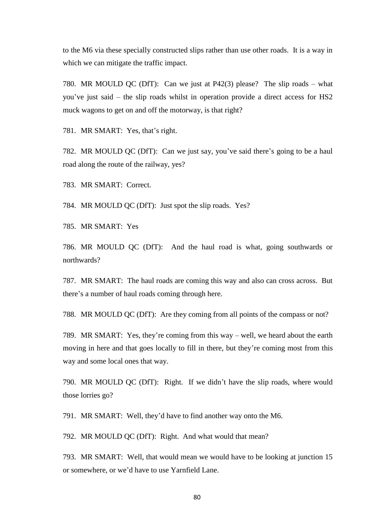to the M6 via these specially constructed slips rather than use other roads. It is a way in which we can mitigate the traffic impact.

780. MR MOULD QC (DfT): Can we just at P42(3) please? The slip roads – what you've just said – the slip roads whilst in operation provide a direct access for HS2 muck wagons to get on and off the motorway, is that right?

781. MR SMART: Yes, that's right.

782. MR MOULD QC (DfT): Can we just say, you've said there's going to be a haul road along the route of the railway, yes?

783. MR SMART: Correct.

784. MR MOULD QC (DfT): Just spot the slip roads. Yes?

785. MR SMART: Yes

786. MR MOULD QC (DfT): And the haul road is what, going southwards or northwards?

787. MR SMART: The haul roads are coming this way and also can cross across. But there's a number of haul roads coming through here.

788. MR MOULD QC (DfT): Are they coming from all points of the compass or not?

789. MR SMART: Yes, they're coming from this way – well, we heard about the earth moving in here and that goes locally to fill in there, but they're coming most from this way and some local ones that way.

790. MR MOULD QC (DfT): Right. If we didn't have the slip roads, where would those lorries go?

791. MR SMART: Well, they'd have to find another way onto the M6.

792. MR MOULD QC (DfT): Right. And what would that mean?

793. MR SMART: Well, that would mean we would have to be looking at junction 15 or somewhere, or we'd have to use Yarnfield Lane.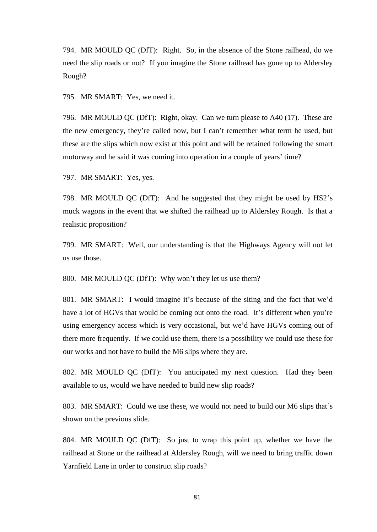794. MR MOULD QC (DfT): Right. So, in the absence of the Stone railhead, do we need the slip roads or not? If you imagine the Stone railhead has gone up to Aldersley Rough?

795. MR SMART: Yes, we need it.

796. MR MOULD QC (DfT): Right, okay. Can we turn please to A40 (17). These are the new emergency, they're called now, but I can't remember what term he used, but these are the slips which now exist at this point and will be retained following the smart motorway and he said it was coming into operation in a couple of years' time?

797. MR SMART: Yes, yes.

798. MR MOULD QC (DfT): And he suggested that they might be used by HS2's muck wagons in the event that we shifted the railhead up to Aldersley Rough. Is that a realistic proposition?

799. MR SMART: Well, our understanding is that the Highways Agency will not let us use those.

800. MR MOULD QC (DfT): Why won't they let us use them?

801. MR SMART: I would imagine it's because of the siting and the fact that we'd have a lot of HGVs that would be coming out onto the road. It's different when you're using emergency access which is very occasional, but we'd have HGVs coming out of there more frequently. If we could use them, there is a possibility we could use these for our works and not have to build the M6 slips where they are.

802. MR MOULD QC (DfT): You anticipated my next question. Had they been available to us, would we have needed to build new slip roads?

803. MR SMART: Could we use these, we would not need to build our M6 slips that's shown on the previous slide.

804. MR MOULD QC (DfT): So just to wrap this point up, whether we have the railhead at Stone or the railhead at Aldersley Rough, will we need to bring traffic down Yarnfield Lane in order to construct slip roads?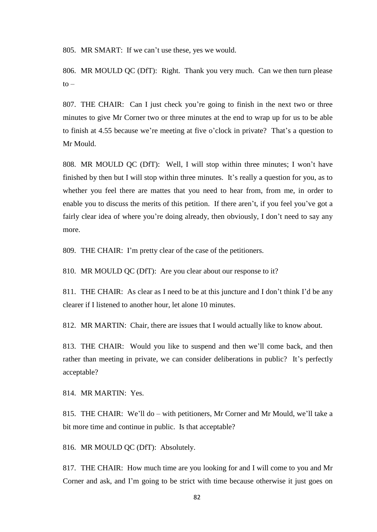805. MR SMART: If we can't use these, yes we would.

806. MR MOULD QC (DfT): Right. Thank you very much. Can we then turn please  $to -$ 

807. THE CHAIR: Can I just check you're going to finish in the next two or three minutes to give Mr Corner two or three minutes at the end to wrap up for us to be able to finish at 4.55 because we're meeting at five o'clock in private? That's a question to Mr Mould.

808. MR MOULD QC (DfT): Well, I will stop within three minutes; I won't have finished by then but I will stop within three minutes. It's really a question for you, as to whether you feel there are mattes that you need to hear from, from me, in order to enable you to discuss the merits of this petition. If there aren't, if you feel you've got a fairly clear idea of where you're doing already, then obviously, I don't need to say any more.

809. THE CHAIR: I'm pretty clear of the case of the petitioners.

810. MR MOULD QC (DfT): Are you clear about our response to it?

811. THE CHAIR: As clear as I need to be at this juncture and I don't think I'd be any clearer if I listened to another hour, let alone 10 minutes.

812. MR MARTIN: Chair, there are issues that I would actually like to know about.

813. THE CHAIR: Would you like to suspend and then we'll come back, and then rather than meeting in private, we can consider deliberations in public? It's perfectly acceptable?

814. MR MARTIN: Yes.

815. THE CHAIR: We'll do – with petitioners, Mr Corner and Mr Mould, we'll take a bit more time and continue in public. Is that acceptable?

816. MR MOULD QC (DfT): Absolutely.

817. THE CHAIR: How much time are you looking for and I will come to you and Mr Corner and ask, and I'm going to be strict with time because otherwise it just goes on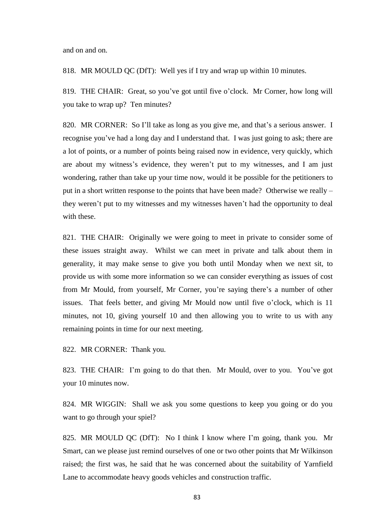and on and on.

818. MR MOULD QC (DfT): Well yes if I try and wrap up within 10 minutes.

819. THE CHAIR: Great, so you've got until five o'clock. Mr Corner, how long will you take to wrap up? Ten minutes?

820. MR CORNER: So I'll take as long as you give me, and that's a serious answer. I recognise you've had a long day and I understand that. I was just going to ask; there are a lot of points, or a number of points being raised now in evidence, very quickly, which are about my witness's evidence, they weren't put to my witnesses, and I am just wondering, rather than take up your time now, would it be possible for the petitioners to put in a short written response to the points that have been made? Otherwise we really – they weren't put to my witnesses and my witnesses haven't had the opportunity to deal with these.

821. THE CHAIR: Originally we were going to meet in private to consider some of these issues straight away. Whilst we can meet in private and talk about them in generality, it may make sense to give you both until Monday when we next sit, to provide us with some more information so we can consider everything as issues of cost from Mr Mould, from yourself, Mr Corner, you're saying there's a number of other issues. That feels better, and giving Mr Mould now until five o'clock, which is 11 minutes, not 10, giving yourself 10 and then allowing you to write to us with any remaining points in time for our next meeting.

822. MR CORNER: Thank you.

823. THE CHAIR: I'm going to do that then. Mr Mould, over to you. You've got your 10 minutes now.

824. MR WIGGIN: Shall we ask you some questions to keep you going or do you want to go through your spiel?

825. MR MOULD QC (DfT): No I think I know where I'm going, thank you. Mr Smart, can we please just remind ourselves of one or two other points that Mr Wilkinson raised; the first was, he said that he was concerned about the suitability of Yarnfield Lane to accommodate heavy goods vehicles and construction traffic.

83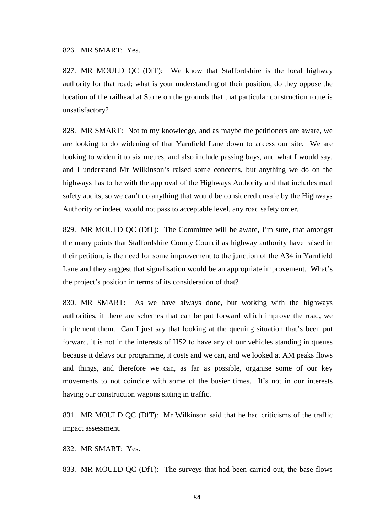826. MR SMART: Yes.

827. MR MOULD QC (DfT): We know that Staffordshire is the local highway authority for that road; what is your understanding of their position, do they oppose the location of the railhead at Stone on the grounds that that particular construction route is unsatisfactory?

828. MR SMART: Not to my knowledge, and as maybe the petitioners are aware, we are looking to do widening of that Yarnfield Lane down to access our site. We are looking to widen it to six metres, and also include passing bays, and what I would say, and I understand Mr Wilkinson's raised some concerns, but anything we do on the highways has to be with the approval of the Highways Authority and that includes road safety audits, so we can't do anything that would be considered unsafe by the Highways Authority or indeed would not pass to acceptable level, any road safety order.

829. MR MOULD QC (DfT): The Committee will be aware, I'm sure, that amongst the many points that Staffordshire County Council as highway authority have raised in their petition, is the need for some improvement to the junction of the A34 in Yarnfield Lane and they suggest that signalisation would be an appropriate improvement. What's the project's position in terms of its consideration of that?

830. MR SMART: As we have always done, but working with the highways authorities, if there are schemes that can be put forward which improve the road, we implement them. Can I just say that looking at the queuing situation that's been put forward, it is not in the interests of HS2 to have any of our vehicles standing in queues because it delays our programme, it costs and we can, and we looked at AM peaks flows and things, and therefore we can, as far as possible, organise some of our key movements to not coincide with some of the busier times. It's not in our interests having our construction wagons sitting in traffic.

831. MR MOULD QC (DfT): Mr Wilkinson said that he had criticisms of the traffic impact assessment.

832. MR SMART: Yes.

833. MR MOULD QC (DfT): The surveys that had been carried out, the base flows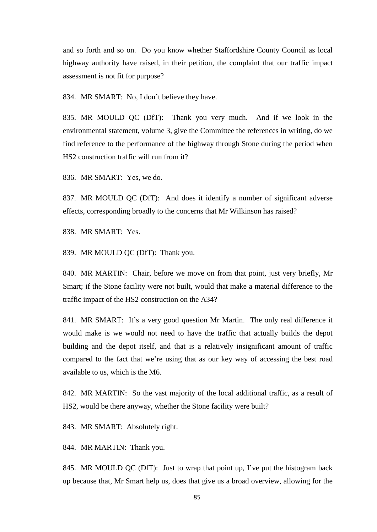and so forth and so on. Do you know whether Staffordshire County Council as local highway authority have raised, in their petition, the complaint that our traffic impact assessment is not fit for purpose?

834. MR SMART: No, I don't believe they have.

835. MR MOULD QC (DfT): Thank you very much. And if we look in the environmental statement, volume 3, give the Committee the references in writing, do we find reference to the performance of the highway through Stone during the period when HS2 construction traffic will run from it?

836. MR SMART: Yes, we do.

837. MR MOULD QC (DfT): And does it identify a number of significant adverse effects, corresponding broadly to the concerns that Mr Wilkinson has raised?

838. MR SMART: Yes.

839. MR MOULD QC (DfT): Thank you.

840. MR MARTIN: Chair, before we move on from that point, just very briefly, Mr Smart; if the Stone facility were not built, would that make a material difference to the traffic impact of the HS2 construction on the A34?

841. MR SMART: It's a very good question Mr Martin. The only real difference it would make is we would not need to have the traffic that actually builds the depot building and the depot itself, and that is a relatively insignificant amount of traffic compared to the fact that we're using that as our key way of accessing the best road available to us, which is the M6.

842. MR MARTIN: So the vast majority of the local additional traffic, as a result of HS2, would be there anyway, whether the Stone facility were built?

843. MR SMART: Absolutely right.

844. MR MARTIN: Thank you.

845. MR MOULD QC (DfT): Just to wrap that point up, I've put the histogram back up because that, Mr Smart help us, does that give us a broad overview, allowing for the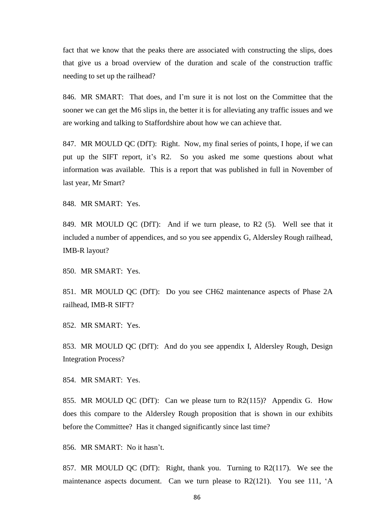fact that we know that the peaks there are associated with constructing the slips, does that give us a broad overview of the duration and scale of the construction traffic needing to set up the railhead?

846. MR SMART: That does, and I'm sure it is not lost on the Committee that the sooner we can get the M6 slips in, the better it is for alleviating any traffic issues and we are working and talking to Staffordshire about how we can achieve that.

847. MR MOULD QC (DfT): Right. Now, my final series of points, I hope, if we can put up the SIFT report, it's R2. So you asked me some questions about what information was available. This is a report that was published in full in November of last year, Mr Smart?

848. MR SMART: Yes.

849. MR MOULD QC (DfT): And if we turn please, to R2 (5). Well see that it included a number of appendices, and so you see appendix G, Aldersley Rough railhead, IMB-R layout?

850. MR SMART: Yes.

851. MR MOULD QC (DfT): Do you see CH62 maintenance aspects of Phase 2A railhead, IMB-R SIFT?

852. MR SMART: Yes.

853. MR MOULD QC (DfT): And do you see appendix I, Aldersley Rough, Design Integration Process?

854. MR SMART: Yes.

855. MR MOULD QC (DfT): Can we please turn to R2(115)? Appendix G. How does this compare to the Aldersley Rough proposition that is shown in our exhibits before the Committee? Has it changed significantly since last time?

856. MR SMART: No it hasn't.

857. MR MOULD QC (DfT): Right, thank you. Turning to R2(117). We see the maintenance aspects document. Can we turn please to R2(121). You see 111, 'A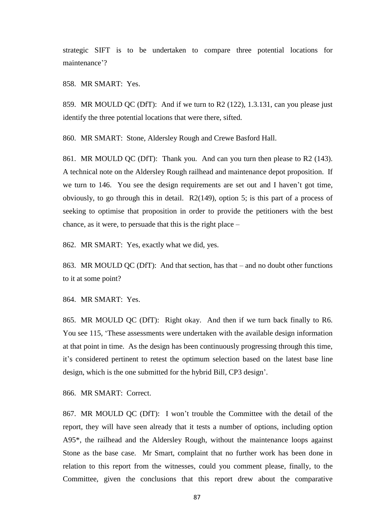strategic SIFT is to be undertaken to compare three potential locations for maintenance'?

858. MR SMART: Yes.

859. MR MOULD QC (DfT): And if we turn to R2 (122), 1.3.131, can you please just identify the three potential locations that were there, sifted.

860. MR SMART: Stone, Aldersley Rough and Crewe Basford Hall.

861. MR MOULD QC (DfT): Thank you. And can you turn then please to R2 (143). A technical note on the Aldersley Rough railhead and maintenance depot proposition. If we turn to 146. You see the design requirements are set out and I haven't got time, obviously, to go through this in detail. R2(149), option 5; is this part of a process of seeking to optimise that proposition in order to provide the petitioners with the best chance, as it were, to persuade that this is the right place –

862. MR SMART: Yes, exactly what we did, yes.

863. MR MOULD QC (DfT): And that section, has that – and no doubt other functions to it at some point?

864. MR SMART: Yes.

865. MR MOULD QC (DfT): Right okay. And then if we turn back finally to R6. You see 115, 'These assessments were undertaken with the available design information at that point in time. As the design has been continuously progressing through this time, it's considered pertinent to retest the optimum selection based on the latest base line design, which is the one submitted for the hybrid Bill, CP3 design'.

866. MR SMART: Correct.

867. MR MOULD QC (DfT): I won't trouble the Committee with the detail of the report, they will have seen already that it tests a number of options, including option A95\*, the railhead and the Aldersley Rough, without the maintenance loops against Stone as the base case. Mr Smart, complaint that no further work has been done in relation to this report from the witnesses, could you comment please, finally, to the Committee, given the conclusions that this report drew about the comparative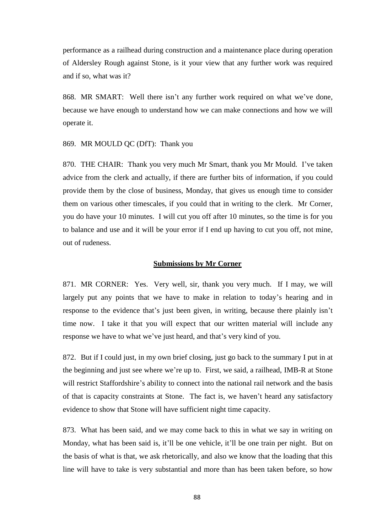performance as a railhead during construction and a maintenance place during operation of Aldersley Rough against Stone, is it your view that any further work was required and if so, what was it?

868. MR SMART: Well there isn't any further work required on what we've done, because we have enough to understand how we can make connections and how we will operate it.

869. MR MOULD QC (DfT): Thank you

870. THE CHAIR: Thank you very much Mr Smart, thank you Mr Mould. I've taken advice from the clerk and actually, if there are further bits of information, if you could provide them by the close of business, Monday, that gives us enough time to consider them on various other timescales, if you could that in writing to the clerk. Mr Corner, you do have your 10 minutes. I will cut you off after 10 minutes, so the time is for you to balance and use and it will be your error if I end up having to cut you off, not mine, out of rudeness.

## **Submissions by Mr Corner**

871. MR CORNER: Yes. Very well, sir, thank you very much. If I may, we will largely put any points that we have to make in relation to today's hearing and in response to the evidence that's just been given, in writing, because there plainly isn't time now. I take it that you will expect that our written material will include any response we have to what we've just heard, and that's very kind of you.

872. But if I could just, in my own brief closing, just go back to the summary I put in at the beginning and just see where we're up to. First, we said, a railhead, IMB-R at Stone will restrict Staffordshire's ability to connect into the national rail network and the basis of that is capacity constraints at Stone. The fact is, we haven't heard any satisfactory evidence to show that Stone will have sufficient night time capacity.

873. What has been said, and we may come back to this in what we say in writing on Monday, what has been said is, it'll be one vehicle, it'll be one train per night. But on the basis of what is that, we ask rhetorically, and also we know that the loading that this line will have to take is very substantial and more than has been taken before, so how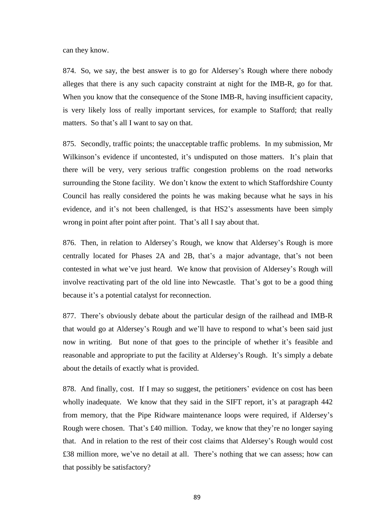can they know.

874. So, we say, the best answer is to go for Aldersey's Rough where there nobody alleges that there is any such capacity constraint at night for the IMB-R, go for that. When you know that the consequence of the Stone IMB-R, having insufficient capacity, is very likely loss of really important services, for example to Stafford; that really matters. So that's all I want to say on that.

875. Secondly, traffic points; the unacceptable traffic problems. In my submission, Mr Wilkinson's evidence if uncontested, it's undisputed on those matters. It's plain that there will be very, very serious traffic congestion problems on the road networks surrounding the Stone facility. We don't know the extent to which Staffordshire County Council has really considered the points he was making because what he says in his evidence, and it's not been challenged, is that HS2's assessments have been simply wrong in point after point after point. That's all I say about that.

876. Then, in relation to Aldersey's Rough, we know that Aldersey's Rough is more centrally located for Phases 2A and 2B, that's a major advantage, that's not been contested in what we've just heard. We know that provision of Aldersey's Rough will involve reactivating part of the old line into Newcastle. That's got to be a good thing because it's a potential catalyst for reconnection.

877. There's obviously debate about the particular design of the railhead and IMB-R that would go at Aldersey's Rough and we'll have to respond to what's been said just now in writing. But none of that goes to the principle of whether it's feasible and reasonable and appropriate to put the facility at Aldersey's Rough. It's simply a debate about the details of exactly what is provided.

878. And finally, cost. If I may so suggest, the petitioners' evidence on cost has been wholly inadequate. We know that they said in the SIFT report, it's at paragraph 442 from memory, that the Pipe Ridware maintenance loops were required, if Aldersey's Rough were chosen. That's £40 million. Today, we know that they're no longer saying that. And in relation to the rest of their cost claims that Aldersey's Rough would cost £38 million more, we've no detail at all. There's nothing that we can assess; how can that possibly be satisfactory?